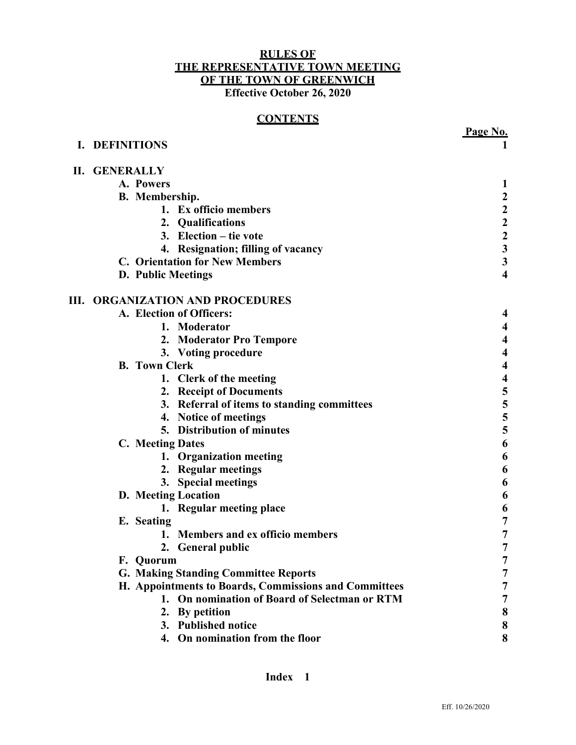### **RULES OF THE REPRESENTATIVE TOWN MEETING OF THE TOWN OF GREENWICH Effective October 26, 2020**

# **CONTENTS**

|  | I. DEFINITIONS                                        | $\mathbf{1}$            |
|--|-------------------------------------------------------|-------------------------|
|  | <b>II. GENERALLY</b>                                  |                         |
|  | A. Powers                                             | $\mathbf{1}$            |
|  | B. Membership.                                        |                         |
|  | 1. Ex officio members                                 |                         |
|  | 2. Qualifications                                     |                         |
|  | 3. Election - tie vote                                | $2222$<br>$233$         |
|  | 4. Resignation; filling of vacancy                    |                         |
|  | <b>C. Orientation for New Members</b>                 |                         |
|  | D. Public Meetings                                    | $\overline{\mathbf{4}}$ |
|  | <b>III. ORGANIZATION AND PROCEDURES</b>               |                         |
|  | A. Election of Officers:                              |                         |
|  | 1. Moderator                                          |                         |
|  | 2. Moderator Pro Tempore                              |                         |
|  | 3. Voting procedure                                   |                         |
|  | <b>B.</b> Town Clerk                                  | $\overline{\mathbf{A}}$ |
|  | 1. Clerk of the meeting                               |                         |
|  | 2. Receipt of Documents                               | $455$<br>$55$<br>$55$   |
|  | 3. Referral of items to standing committees           |                         |
|  | 4. Notice of meetings                                 |                         |
|  | 5. Distribution of minutes                            |                         |
|  | <b>C.</b> Meeting Dates                               | 6                       |
|  | 1. Organization meeting                               | 6                       |
|  | 2. Regular meetings                                   | 6                       |
|  | 3. Special meetings                                   | 6                       |
|  | D. Meeting Location                                   | 6                       |
|  | 1. Regular meeting place                              | 6                       |
|  | E. Seating                                            |                         |
|  | 1. Members and ex officio members                     | 7                       |
|  | 2. General public                                     | 7                       |
|  | F.<br>Quorum                                          | 7                       |
|  | <b>G. Making Standing Committee Reports</b>           | 7                       |
|  | H. Appointments to Boards, Commissions and Committees |                         |
|  | 1. On nomination of Board of Selectman or RTM         |                         |
|  | <b>By petition</b><br>2.                              | 8                       |
|  | 3. Published notice                                   | 8                       |
|  | 4. On nomination from the floor                       | 8                       |

 **Page No.**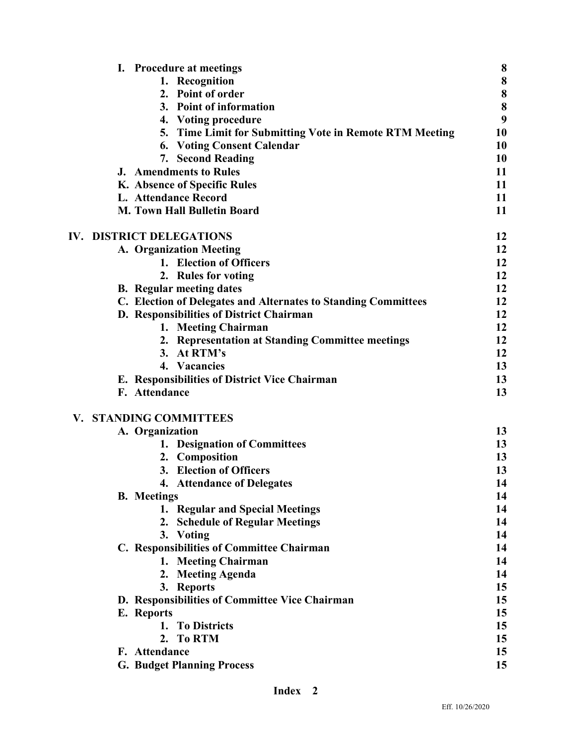|  | I. Procedure at meetings                                       | 8  |
|--|----------------------------------------------------------------|----|
|  | 1. Recognition                                                 | 8  |
|  | 2. Point of order                                              | 8  |
|  | 3. Point of information                                        | 8  |
|  | 4. Voting procedure                                            | 9  |
|  | 5. Time Limit for Submitting Vote in Remote RTM Meeting        | 10 |
|  | <b>Voting Consent Calendar</b><br>6.                           | 10 |
|  | 7. Second Reading                                              | 10 |
|  | <b>J.</b> Amendments to Rules                                  | 11 |
|  | K. Absence of Specific Rules                                   | 11 |
|  | L. Attendance Record                                           | 11 |
|  | <b>M. Town Hall Bulletin Board</b>                             | 11 |
|  | IV. DISTRICT DELEGATIONS                                       | 12 |
|  | A. Organization Meeting                                        | 12 |
|  | 1. Election of Officers                                        | 12 |
|  | 2. Rules for voting                                            | 12 |
|  | <b>B.</b> Regular meeting dates                                | 12 |
|  | C. Election of Delegates and Alternates to Standing Committees | 12 |
|  | D. Responsibilities of District Chairman                       | 12 |
|  | 1. Meeting Chairman                                            | 12 |
|  | 2. Representation at Standing Committee meetings               | 12 |
|  | 3. At RTM's                                                    | 12 |
|  | 4. Vacancies                                                   | 13 |
|  | E. Responsibilities of District Vice Chairman                  | 13 |
|  | F. Attendance                                                  | 13 |
|  | V. STANDING COMMITTEES                                         |    |
|  | A. Organization                                                | 13 |
|  | 1. Designation of Committees                                   | 13 |
|  | 2. Composition                                                 | 13 |
|  | 3. Election of Officers                                        | 13 |
|  | <b>4. Attendance of Delegates</b>                              | 14 |
|  | <b>B.</b> Meetings                                             | 14 |
|  | 1. Regular and Special Meetings                                | 14 |
|  | 2. Schedule of Regular Meetings                                | 14 |
|  | 3. Voting                                                      | 14 |
|  | C. Responsibilities of Committee Chairman                      | 14 |
|  | 1. Meeting Chairman                                            | 14 |
|  | 2. Meeting Agenda                                              | 14 |
|  | 3. Reports                                                     | 15 |
|  | D. Responsibilities of Committee Vice Chairman                 | 15 |
|  | E. Reports                                                     | 15 |
|  | <b>To Districts</b><br>1.                                      | 15 |
|  | <b>To RTM</b><br>2.                                            | 15 |
|  | F. Attendance                                                  | 15 |
|  | <b>G. Budget Planning Process</b>                              | 15 |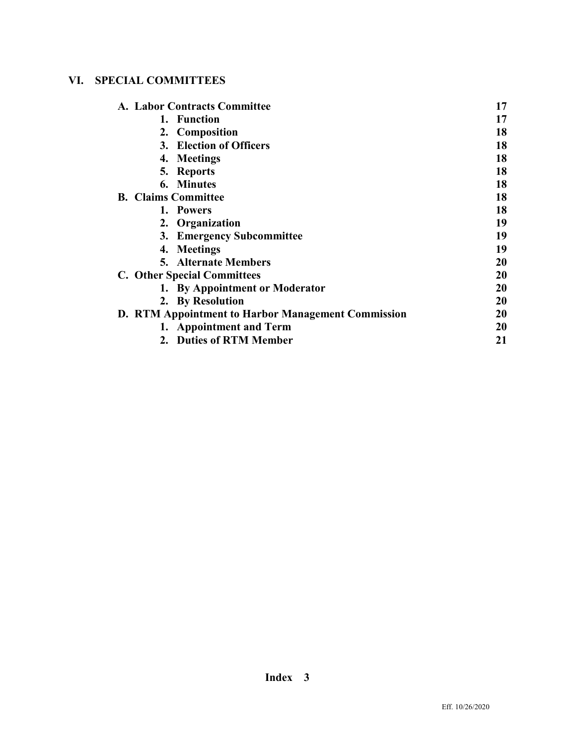# **VI. SPECIAL COMMITTEES**

| A. Labor Contracts Committee                       | 17 |
|----------------------------------------------------|----|
| 1. Function                                        | 17 |
| 2. Composition                                     | 18 |
| 3. Election of Officers                            | 18 |
| 4. Meetings                                        | 18 |
| 5. Reports                                         | 18 |
| 6. Minutes                                         | 18 |
| <b>B.</b> Claims Committee                         | 18 |
| 1. Powers                                          | 18 |
| 2. Organization                                    | 19 |
| 3. Emergency Subcommittee                          | 19 |
| 4. Meetings                                        | 19 |
| <b>5. Alternate Members</b>                        | 20 |
| <b>C.</b> Other Special Committees                 | 20 |
| 1. By Appointment or Moderator                     | 20 |
| 2. By Resolution                                   | 20 |
| D. RTM Appointment to Harbor Management Commission | 20 |
| 1. Appointment and Term                            | 20 |
| 2. Duties of RTM Member                            | 21 |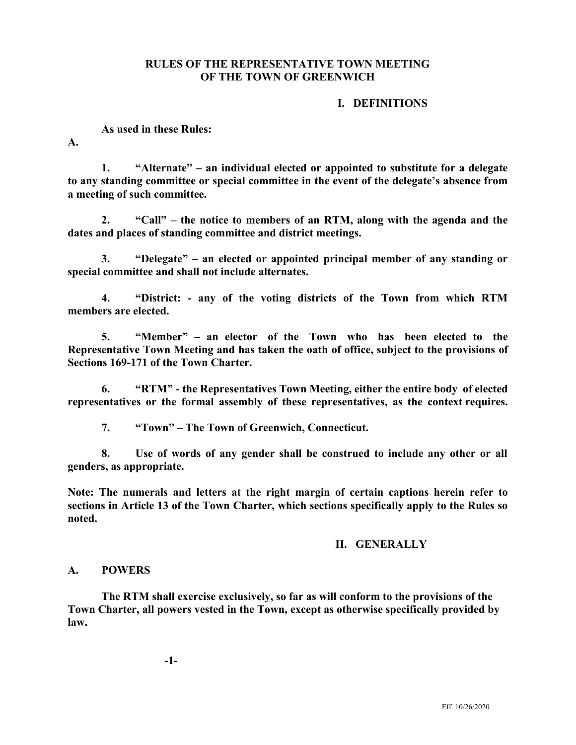### **RULES OF THE REPRESENTATIVE TOWN MEETING OF THE TOWN OF GREENWICH**

#### **I. DEFINITIONS**

**As used in these Rules:** 

**A.**

**1. "Alternate" – an individual elected or appointed to substitute for a delegate to any standing committee or special committee in the event of the delegate's absence from a meeting of such committee.**

**2. "Call" – the notice to members of an RTM, along with the agenda and the dates and places of standing committee and district meetings.**

**3. "Delegate" – an elected or appointed principal member of any standing or special committee and shall not include alternates.**

**4. "District: - any of the voting districts of the Town from which RTM members are elected.**

**5. "Member" – an elector of the Town who has been elected to the Representative Town Meeting and has taken the oath of office, subject to the provisions of Sections 169-171 of the Town Charter.**

**6. "RTM" - the Representatives Town Meeting, either the entire body of elected representatives or the formal assembly of these representatives, as the context requires.**

**7. "Town" – The Town of Greenwich, Connecticut.**

**8. Use of words of any gender shall be construed to include any other or all genders, as appropriate.**

**Note: The numerals and letters at the right margin of certain captions herein refer to sections in Article 13 of the Town Charter, which sections specifically apply to the Rules so noted.**

### **II. GENERALLY**

### **A. POWERS**

**The RTM shall exercise exclusively, so far as will conform to the provisions of the Town Charter, all powers vested in the Town, except as otherwise specifically provided by law.**

 **-1-**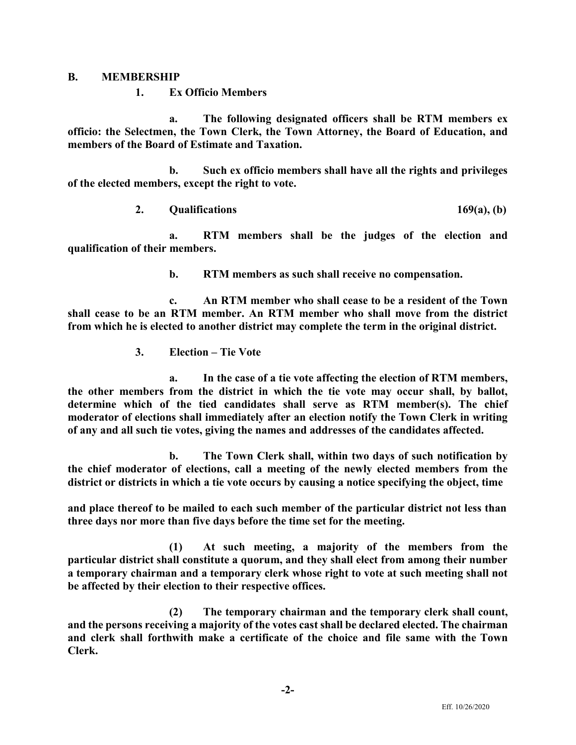#### **B. MEMBERSHIP**

### **1. Ex Officio Members**

**a. The following designated officers shall be RTM members ex officio: the Selectmen, the Town Clerk, the Town Attorney, the Board of Education, and members of the Board of Estimate and Taxation.**

**b. Such ex officio members shall have all the rights and privileges of the elected members, except the right to vote.**

### **2. Qualifications 169(a), (b)**

**a. RTM members shall be the judges of the election and qualification of their members.**

**b. RTM members as such shall receive no compensation.**

**c. An RTM member who shall cease to be a resident of the Town shall cease to be an RTM member. An RTM member who shall move from the district from which he is elected to another district may complete the term in the original district.**

**3. Election – Tie Vote**

**a. In the case of a tie vote affecting the election of RTM members, the other members from the district in which the tie vote may occur shall, by ballot, determine which of the tied candidates shall serve as RTM member(s). The chief moderator of elections shall immediately after an election notify the Town Clerk in writing of any and all such tie votes, giving the names and addresses of the candidates affected.**

**b. The Town Clerk shall, within two days of such notification by the chief moderator of elections, call a meeting of the newly elected members from the district or districts in which a tie vote occurs by causing a notice specifying the object, time**

**and place thereof to be mailed to each such member of the particular district not less than three days nor more than five days before the time set for the meeting.**

**(1) At such meeting, a majority of the members from the particular district shall constitute a quorum, and they shall elect from among their number a temporary chairman and a temporary clerk whose right to vote at such meeting shall not be affected by their election to their respective offices.**

**(2) The temporary chairman and the temporary clerk shall count, and the persons receiving a majority of the votes cast shall be declared elected. The chairman and clerk shall forthwith make a certificate of the choice and file same with the Town Clerk.**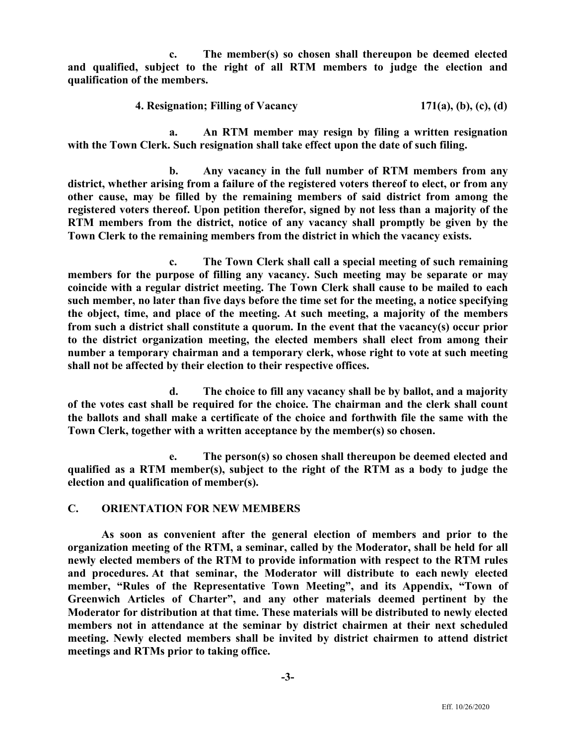**c. The member(s) so chosen shall thereupon be deemed elected and qualified, subject to the right of all RTM members to judge the election and qualification of the members.**

#### **4. Resignation; Filling of Vacancy 171(a), (b), (c), (d)**

**a. An RTM member may resign by filing a written resignation with the Town Clerk. Such resignation shall take effect upon the date of such filing.**

**b. Any vacancy in the full number of RTM members from any district, whether arising from a failure of the registered voters thereof to elect, or from any other cause, may be filled by the remaining members of said district from among the registered voters thereof. Upon petition therefor, signed by not less than a majority of the RTM members from the district, notice of any vacancy shall promptly be given by the Town Clerk to the remaining members from the district in which the vacancy exists.**

**c. The Town Clerk shall call a special meeting of such remaining members for the purpose of filling any vacancy. Such meeting may be separate or may coincide with a regular district meeting. The Town Clerk shall cause to be mailed to each such member, no later than five days before the time set for the meeting, a notice specifying the object, time, and place of the meeting. At such meeting, a majority of the members from such a district shall constitute a quorum. In the event that the vacancy(s) occur prior to the district organization meeting, the elected members shall elect from among their number a temporary chairman and a temporary clerk, whose right to vote at such meeting shall not be affected by their election to their respective offices.**

**d. The choice to fill any vacancy shall be by ballot, and a majority of the votes cast shall be required for the choice. The chairman and the clerk shall count the ballots and shall make a certificate of the choice and forthwith file the same with the Town Clerk, together with a written acceptance by the member(s) so chosen.**

**e. The person(s) so chosen shall thereupon be deemed elected and qualified as a RTM member(s), subject to the right of the RTM as a body to judge the election and qualification of member(s).**

### **C. ORIENTATION FOR NEW MEMBERS**

**As soon as convenient after the general election of members and prior to the organization meeting of the RTM, a seminar, called by the Moderator, shall be held for all newly elected members of the RTM to provide information with respect to the RTM rules and procedures. At that seminar, the Moderator will distribute to each newly elected member, "Rules of the Representative Town Meeting", and its Appendix, "Town of Greenwich Articles of Charter", and any other materials deemed pertinent by the Moderator for distribution at that time. These materials will be distributed to newly elected members not in attendance at the seminar by district chairmen at their next scheduled meeting. Newly elected members shall be invited by district chairmen to attend district meetings and RTMs prior to taking office.**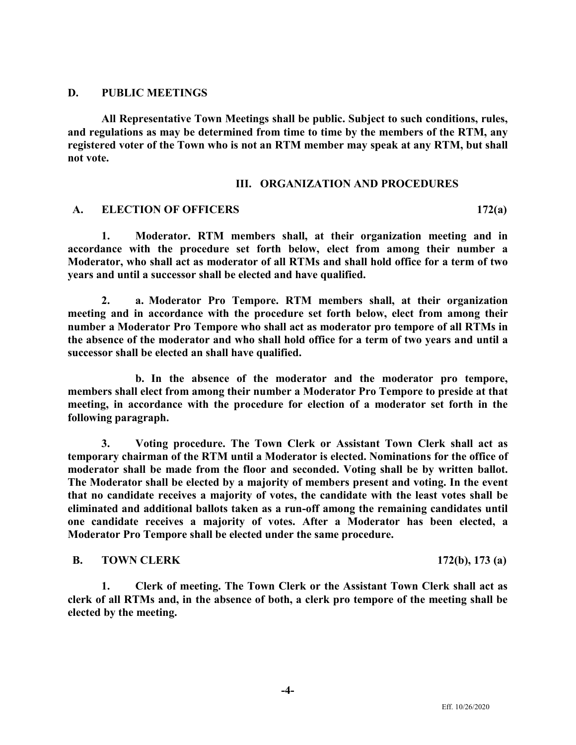#### **D. PUBLIC MEETINGS**

**All Representative Town Meetings shall be public. Subject to such conditions, rules, and regulations as may be determined from time to time by the members of the RTM, any registered voter of the Town who is not an RTM member may speak at any RTM, but shall not vote.**

#### **III. ORGANIZATION AND PROCEDURES**

#### **A. ELECTION OF OFFICERS 172(a)**

**1. Moderator. RTM members shall, at their organization meeting and in accordance with the procedure set forth below, elect from among their number a Moderator, who shall act as moderator of all RTMs and shall hold office for a term of two years and until a successor shall be elected and have qualified.**

**2. a. Moderator Pro Tempore. RTM members shall, at their organization meeting and in accordance with the procedure set forth below, elect from among their number a Moderator Pro Tempore who shall act as moderator pro tempore of all RTMs in the absence of the moderator and who shall hold office for a term of two years and until a successor shall be elected an shall have qualified.**

**b. In the absence of the moderator and the moderator pro tempore, members shall elect from among their number a Moderator Pro Tempore to preside at that meeting, in accordance with the procedure for election of a moderator set forth in the following paragraph.**

**3. Voting procedure. The Town Clerk or Assistant Town Clerk shall act as temporary chairman of the RTM until a Moderator is elected. Nominations for the office of moderator shall be made from the floor and seconded. Voting shall be by written ballot. The Moderator shall be elected by a majority of members present and voting. In the event that no candidate receives a majority of votes, the candidate with the least votes shall be eliminated and additional ballots taken as a run-off among the remaining candidates until one candidate receives a majority of votes. After a Moderator has been elected, a Moderator Pro Tempore shall be elected under the same procedure.**

#### **B. TOWN CLERK 172(b), 173 (a)**

**1. Clerk of meeting. The Town Clerk or the Assistant Town Clerk shall act as clerk of all RTMs and, in the absence of both, a clerk pro tempore of the meeting shall be elected by the meeting.**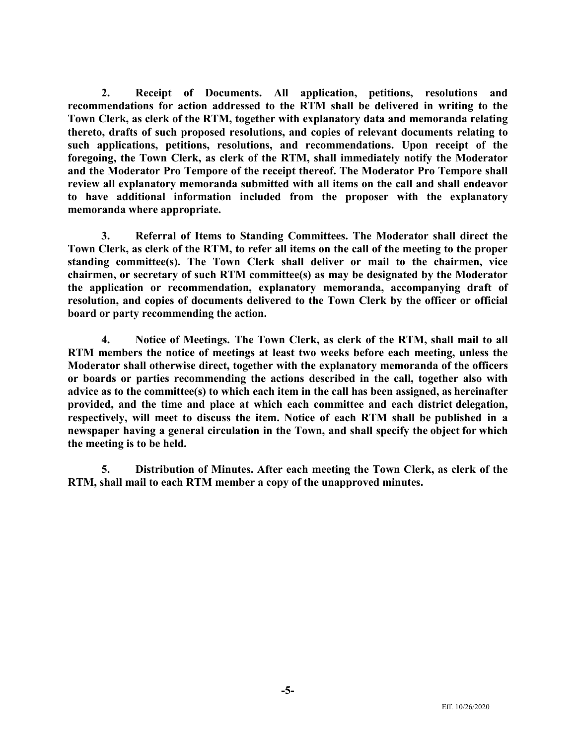**2. Receipt of Documents. All application, petitions, resolutions and recommendations for action addressed to the RTM shall be delivered in writing to the Town Clerk, as clerk of the RTM, together with explanatory data and memoranda relating thereto, drafts of such proposed resolutions, and copies of relevant documents relating to such applications, petitions, resolutions, and recommendations. Upon receipt of the foregoing, the Town Clerk, as clerk of the RTM, shall immediately notify the Moderator and the Moderator Pro Tempore of the receipt thereof. The Moderator Pro Tempore shall review all explanatory memoranda submitted with all items on the call and shall endeavor to have additional information included from the proposer with the explanatory memoranda where appropriate.**

**3. Referral of Items to Standing Committees. The Moderator shall direct the Town Clerk, as clerk of the RTM, to refer all items on the call of the meeting to the proper standing committee(s). The Town Clerk shall deliver or mail to the chairmen, vice chairmen, or secretary of such RTM committee(s) as may be designated by the Moderator the application or recommendation, explanatory memoranda, accompanying draft of resolution, and copies of documents delivered to the Town Clerk by the officer or official board or party recommending the action.**

**4. Notice of Meetings. The Town Clerk, as clerk of the RTM, shall mail to all RTM members the notice of meetings at least two weeks before each meeting, unless the Moderator shall otherwise direct, together with the explanatory memoranda of the officers or boards or parties recommending the actions described in the call, together also with advice as to the committee(s) to which each item in the call has been assigned, as hereinafter provided, and the time and place at which each committee and each district delegation, respectively, will meet to discuss the item. Notice of each RTM shall be published in a newspaper having a general circulation in the Town, and shall specify the object for which the meeting is to be held.**

**5. Distribution of Minutes. After each meeting the Town Clerk, as clerk of the RTM, shall mail to each RTM member a copy of the unapproved minutes.**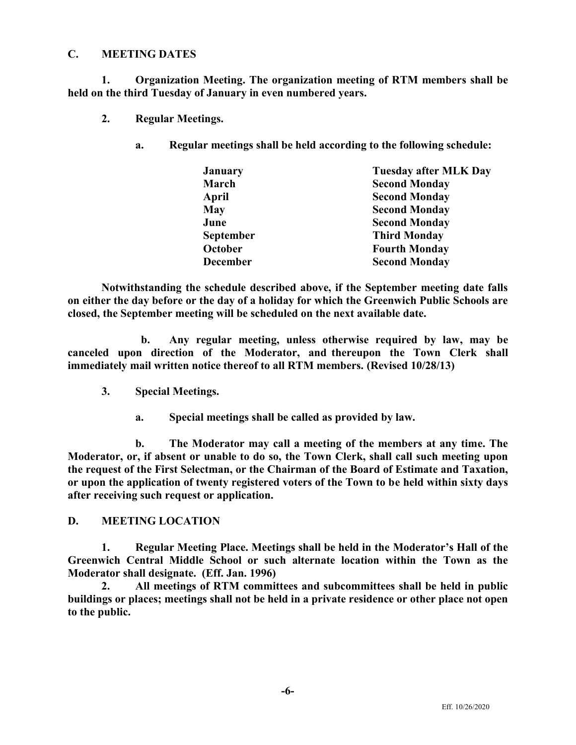### **C. MEETING DATES**

**1. Organization Meeting. The organization meeting of RTM members shall be held on the third Tuesday of January in even numbered years.**

**2. Regular Meetings.**

**a. Regular meetings shall be held according to the following schedule:** 

| <b>January</b>   | <b>Tuesday after MLK Day</b> |
|------------------|------------------------------|
| March            | <b>Second Monday</b>         |
| April            | <b>Second Monday</b>         |
| <b>May</b>       | <b>Second Monday</b>         |
| June             | <b>Second Monday</b>         |
| <b>September</b> | <b>Third Monday</b>          |
| October          | <b>Fourth Monday</b>         |
| <b>December</b>  | <b>Second Monday</b>         |

**Notwithstanding the schedule described above, if the September meeting date falls on either the day before or the day of a holiday for which the Greenwich Public Schools are closed, the September meeting will be scheduled on the next available date.**

**b. Any regular meeting, unless otherwise required by law, may be canceled upon direction of the Moderator, and thereupon the Town Clerk shall immediately mail written notice thereof to all RTM members. (Revised 10/28/13)**

- **3. Special Meetings.**
	- **a. Special meetings shall be called as provided by law.**

**b. The Moderator may call a meeting of the members at any time. The Moderator, or, if absent or unable to do so, the Town Clerk, shall call such meeting upon the request of the First Selectman, or the Chairman of the Board of Estimate and Taxation, or upon the application of twenty registered voters of the Town to be held within sixty days after receiving such request or application.**

### **D. MEETING LOCATION**

**1. Regular Meeting Place. Meetings shall be held in the Moderator's Hall of the Greenwich Central Middle School or such alternate location within the Town as the Moderator shall designate. (Eff. Jan. 1996)**

**2. All meetings of RTM committees and subcommittees shall be held in public buildings or places; meetings shall not be held in a private residence or other place not open to the public.**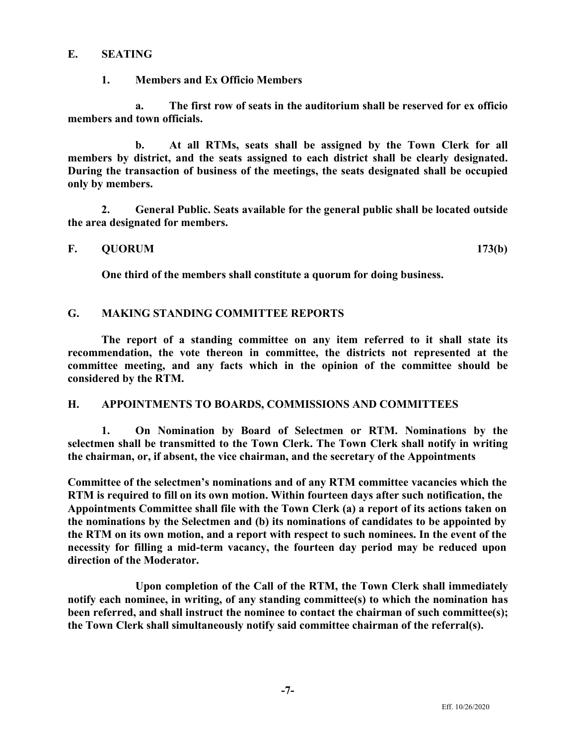#### **E. SEATING**

#### **1. Members and Ex Officio Members**

**a. The first row of seats in the auditorium shall be reserved for ex officio members and town officials.**

**b. At all RTMs, seats shall be assigned by the Town Clerk for all members by district, and the seats assigned to each district shall be clearly designated. During the transaction of business of the meetings, the seats designated shall be occupied only by members.**

**2. General Public. Seats available for the general public shall be located outside the area designated for members.**

#### **F. QUORUM 173(b)**

**One third of the members shall constitute a quorum for doing business.**

### **G. MAKING STANDING COMMITTEE REPORTS**

**The report of a standing committee on any item referred to it shall state its recommendation, the vote thereon in committee, the districts not represented at the committee meeting, and any facts which in the opinion of the committee should be considered by the RTM.**

#### **H. APPOINTMENTS TO BOARDS, COMMISSIONS AND COMMITTEES**

**1. On Nomination by Board of Selectmen or RTM. Nominations by the selectmen shall be transmitted to the Town Clerk. The Town Clerk shall notify in writing the chairman, or, if absent, the vice chairman, and the secretary of the Appointments**

**Committee of the selectmen's nominations and of any RTM committee vacancies which the RTM is required to fill on its own motion. Within fourteen days after such notification, the Appointments Committee shall file with the Town Clerk (a) a report of its actions taken on the nominations by the Selectmen and (b) its nominations of candidates to be appointed by the RTM on its own motion, and a report with respect to such nominees. In the event of the necessity for filling a mid-term vacancy, the fourteen day period may be reduced upon direction of the Moderator.**

**Upon completion of the Call of the RTM, the Town Clerk shall immediately notify each nominee, in writing, of any standing committee(s) to which the nomination has been referred, and shall instruct the nominee to contact the chairman of such committee(s); the Town Clerk shall simultaneously notify said committee chairman of the referral(s).**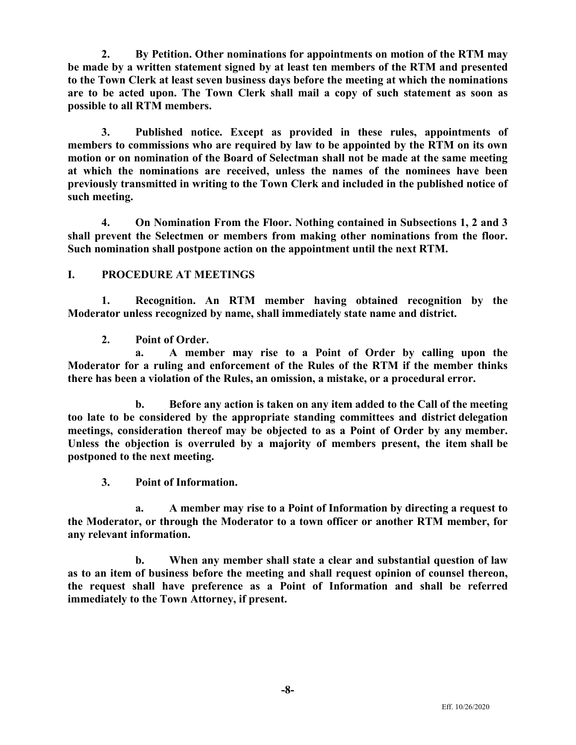**2. By Petition. Other nominations for appointments on motion of the RTM may be made by a written statement signed by at least ten members of the RTM and presented to the Town Clerk at least seven business days before the meeting at which the nominations are to be acted upon. The Town Clerk shall mail a copy of such statement as soon as possible to all RTM members.**

**3. Published notice. Except as provided in these rules, appointments of members to commissions who are required by law to be appointed by the RTM on its own motion or on nomination of the Board of Selectman shall not be made at the same meeting at which the nominations are received, unless the names of the nominees have been previously transmitted in writing to the Town Clerk and included in the published notice of such meeting.**

**4. On Nomination From the Floor. Nothing contained in Subsections 1, 2 and 3 shall prevent the Selectmen or members from making other nominations from the floor. Such nomination shall postpone action on the appointment until the next RTM.**

### **I. PROCEDURE AT MEETINGS**

**1. Recognition. An RTM member having obtained recognition by the Moderator unless recognized by name, shall immediately state name and district.**

**2. Point of Order.**

**a. A member may rise to a Point of Order by calling upon the Moderator for a ruling and enforcement of the Rules of the RTM if the member thinks there has been a violation of the Rules, an omission, a mistake, or a procedural error.**

**b. Before any action is taken on any item added to the Call of the meeting too late to be considered by the appropriate standing committees and district delegation meetings, consideration thereof may be objected to as a Point of Order by any member. Unless the objection is overruled by a majority of members present, the item shall be postponed to the next meeting.**

**3. Point of Information.**

**a. A member may rise to a Point of Information by directing a request to the Moderator, or through the Moderator to a town officer or another RTM member, for any relevant information.**

**b. When any member shall state a clear and substantial question of law as to an item of business before the meeting and shall request opinion of counsel thereon, the request shall have preference as a Point of Information and shall be referred immediately to the Town Attorney, if present.**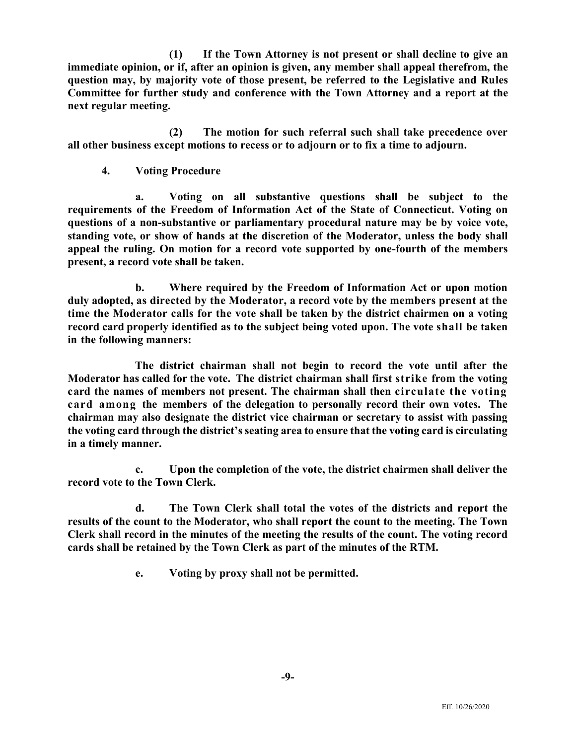**(1) If the Town Attorney is not present or shall decline to give an immediate opinion, or if, after an opinion is given, any member shall appeal therefrom, the question may, by majority vote of those present, be referred to the Legislative and Rules Committee for further study and conference with the Town Attorney and a report at the next regular meeting.**

**(2) The motion for such referral such shall take precedence over all other business except motions to recess or to adjourn or to fix a time to adjourn.**

**4. Voting Procedure**

**a. Voting on all substantive questions shall be subject to the requirements of the Freedom of Information Act of the State of Connecticut. Voting on questions of a non-substantive or parliamentary procedural nature may be by voice vote, standing vote, or show of hands at the discretion of the Moderator, unless the body shall appeal the ruling. On motion for a record vote supported by one-fourth of the members present, a record vote shall be taken.**

**b. Where required by the Freedom of Information Act or upon motion duly adopted, as directed by the Moderator, a record vote by the members present at the time the Moderator calls for the vote shall be taken by the district chairmen on a voting record card properly identified as to the subject being voted upon. The vote shall be taken in the following manners:**

 **The district chairman shall not begin to record the vote until after the Moderator has called for the vote. The district chairman shall first strike from the voting card the names of members not present. The chairman shall then circulate the voting card among the members of the delegation to personally record their own votes. The chairman may also designate the district vice chairman or secretary to assist with passing the voting card through the district's seating area to ensure that the voting card is circulating in a timely manner.**

**c. Upon the completion of the vote, the district chairmen shall deliver the record vote to the Town Clerk.**

**d. The Town Clerk shall total the votes of the districts and report the results of the count to the Moderator, who shall report the count to the meeting. The Town Clerk shall record in the minutes of the meeting the results of the count. The voting record cards shall be retained by the Town Clerk as part of the minutes of the RTM.**

**e. Voting by proxy shall not be permitted.**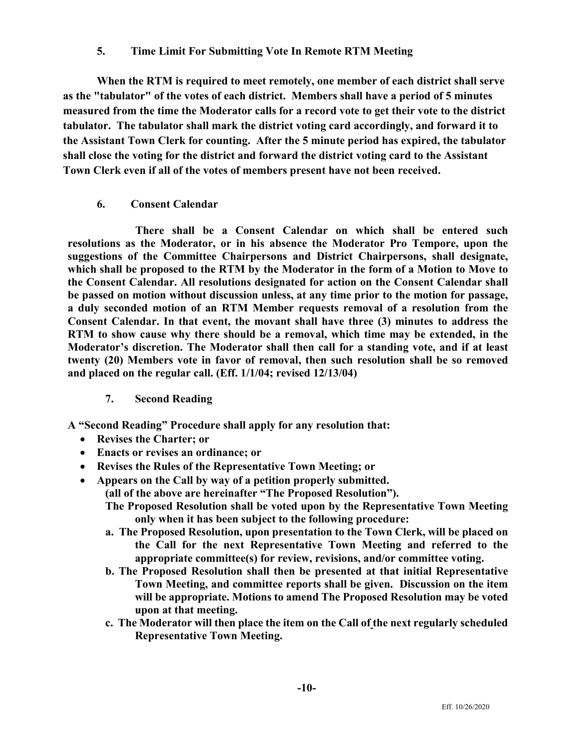### **5. Time Limit For Submitting Vote In Remote RTM Meeting**

**When the RTM is required to meet remotely, one member of each district shall serve as the "tabulator" of the votes of each district. Members shall have a period of 5 minutes measured from the time the Moderator calls for a record vote to get their vote to the district tabulator. The tabulator shall mark the district voting card accordingly, and forward it to the Assistant Town Clerk for counting. After the 5 minute period has expired, the tabulator shall close the voting for the district and forward the district voting card to the Assistant Town Clerk even if all of the votes of members present have not been received.** 

### **6. Consent Calendar**

**There shall be a Consent Calendar on which shall be entered such resolutions as the Moderator, or in his absence the Moderator Pro Tempore, upon the suggestions of the Committee Chairpersons and District Chairpersons, shall designate, which shall be proposed to the RTM by the Moderator in the form of a Motion to Move to the Consent Calendar. All resolutions designated for action on the Consent Calendar shall be passed on motion without discussion unless, at any time prior to the motion for passage, a duly seconded motion of an RTM Member requests removal of a resolution from the Consent Calendar. In that event, the movant shall have three (3) minutes to address the RTM to show cause why there should be a removal, which time may be extended, in the Moderator's discretion. The Moderator shall then call for a standing vote, and if at least twenty (20) Members vote in favor of removal, then such resolution shall be so removed and placed on the regular call. (Eff. 1/1/04; revised 12/13/04)**

### **7. Second Reading**

**A "Second Reading" Procedure shall apply for any resolution that:** 

- **Revises the Charter; or**
- **Enacts or revises an ordinance; or**
- **Revises the Rules of the Representative Town Meeting; or**
- **Appears on the Call by way of a petition properly submitted.**

**(all of the above are hereinafter "The Proposed Resolution").** 

- **The Proposed Resolution shall be voted upon by the Representative Town Meeting only when it has been subject to the following procedure:**
- **a. The Proposed Resolution, upon presentation to the Town Clerk, will be placed on the Call for the next Representative Town Meeting and referred to the appropriate committee(s) for review, revisions, and/or committee voting.**
- **b. The Proposed Resolution shall then be presented at that initial Representative Town Meeting, and committee reports shall be given. Discussion on the item will be appropriate. Motions to amend The Proposed Resolution may be voted upon at that meeting.**
- **c. The Moderator will then place the item on the Call of the next regularly scheduled Representative Town Meeting.**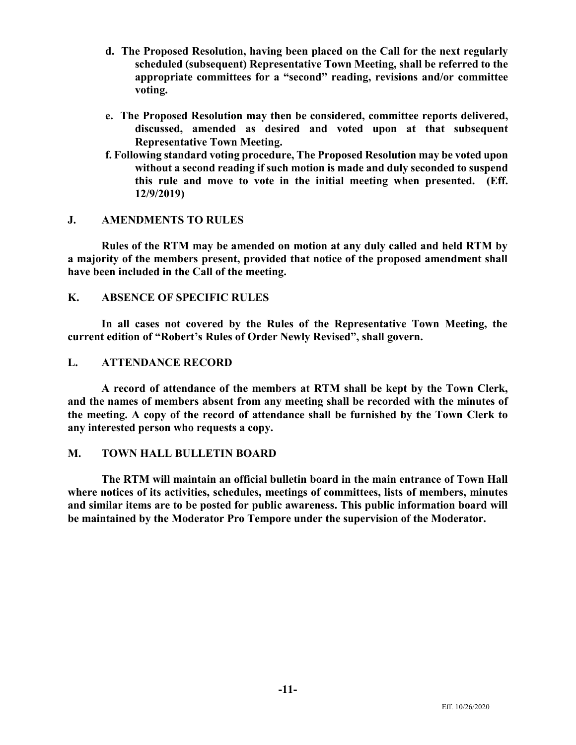- **d. The Proposed Resolution, having been placed on the Call for the next regularly scheduled (subsequent) Representative Town Meeting, shall be referred to the appropriate committees for a "second" reading, revisions and/or committee voting.**
- **e. The Proposed Resolution may then be considered, committee reports delivered, discussed, amended as desired and voted upon at that subsequent Representative Town Meeting.**
- **f. Following standard voting procedure, The Proposed Resolution may be voted upon without a second reading if such motion is made and duly seconded to suspend this rule and move to vote in the initial meeting when presented. (Eff. 12/9/2019)**

### **J. AMENDMENTS TO RULES**

**Rules of the RTM may be amended on motion at any duly called and held RTM by a majority of the members present, provided that notice of the proposed amendment shall have been included in the Call of the meeting.**

#### **K. ABSENCE OF SPECIFIC RULES**

**In all cases not covered by the Rules of the Representative Town Meeting, the current edition of "Robert's Rules of Order Newly Revised", shall govern.**

#### **L. ATTENDANCE RECORD**

**A record of attendance of the members at RTM shall be kept by the Town Clerk, and the names of members absent from any meeting shall be recorded with the minutes of the meeting. A copy of the record of attendance shall be furnished by the Town Clerk to any interested person who requests a copy.**

#### **M. TOWN HALL BULLETIN BOARD**

**The RTM will maintain an official bulletin board in the main entrance of Town Hall where notices of its activities, schedules, meetings of committees, lists of members, minutes and similar items are to be posted for public awareness. This public information board will be maintained by the Moderator Pro Tempore under the supervision of the Moderator.**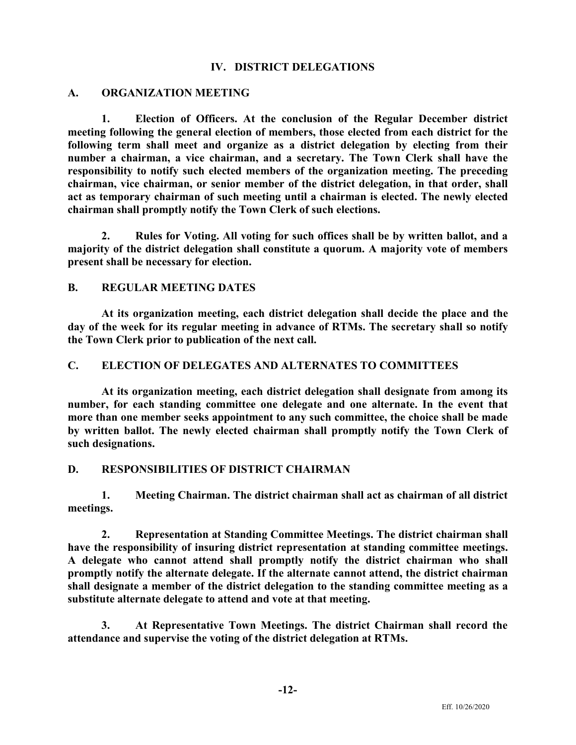### **IV. DISTRICT DELEGATIONS**

### **A. ORGANIZATION MEETING**

**1. Election of Officers. At the conclusion of the Regular December district meeting following the general election of members, those elected from each district for the following term shall meet and organize as a district delegation by electing from their number a chairman, a vice chairman, and a secretary. The Town Clerk shall have the responsibility to notify such elected members of the organization meeting. The preceding chairman, vice chairman, or senior member of the district delegation, in that order, shall act as temporary chairman of such meeting until a chairman is elected. The newly elected chairman shall promptly notify the Town Clerk of such elections.**

**2. Rules for Voting. All voting for such offices shall be by written ballot, and a majority of the district delegation shall constitute a quorum. A majority vote of members present shall be necessary for election.**

### **B. REGULAR MEETING DATES**

**At its organization meeting, each district delegation shall decide the place and the day of the week for its regular meeting in advance of RTMs. The secretary shall so notify the Town Clerk prior to publication of the next call.**

### **C. ELECTION OF DELEGATES AND ALTERNATES TO COMMITTEES**

**At its organization meeting, each district delegation shall designate from among its number, for each standing committee one delegate and one alternate. In the event that more than one member seeks appointment to any such committee, the choice shall be made by written ballot. The newly elected chairman shall promptly notify the Town Clerk of such designations.**

### **D. RESPONSIBILITIES OF DISTRICT CHAIRMAN**

**1. Meeting Chairman. The district chairman shall act as chairman of all district meetings.**

**2. Representation at Standing Committee Meetings. The district chairman shall have the responsibility of insuring district representation at standing committee meetings. A delegate who cannot attend shall promptly notify the district chairman who shall promptly notify the alternate delegate. If the alternate cannot attend, the district chairman shall designate a member of the district delegation to the standing committee meeting as a substitute alternate delegate to attend and vote at that meeting.**

**3. At Representative Town Meetings. The district Chairman shall record the attendance and supervise the voting of the district delegation at RTMs.**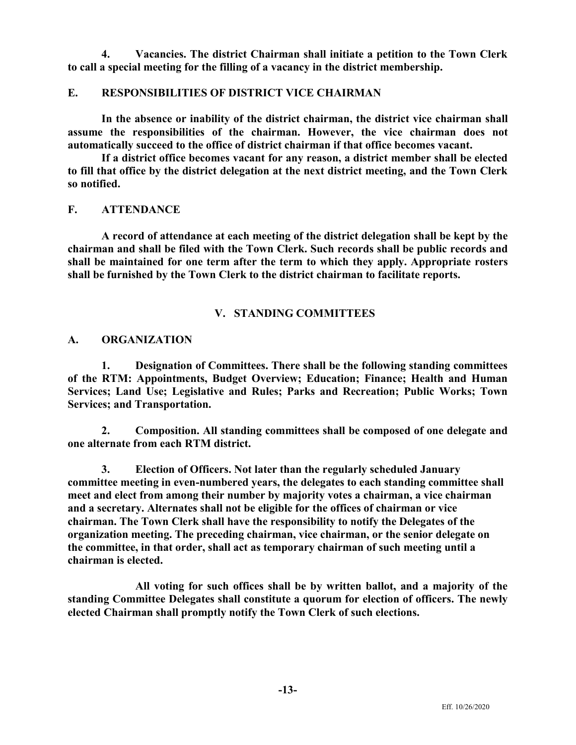**4. Vacancies. The district Chairman shall initiate a petition to the Town Clerk to call a special meeting for the filling of a vacancy in the district membership.**

### **E. RESPONSIBILITIES OF DISTRICT VICE CHAIRMAN**

**In the absence or inability of the district chairman, the district vice chairman shall assume the responsibilities of the chairman. However, the vice chairman does not automatically succeed to the office of district chairman if that office becomes vacant.**

**If a district office becomes vacant for any reason, a district member shall be elected to fill that office by the district delegation at the next district meeting, and the Town Clerk so notified.**

### **F. ATTENDANCE**

**A record of attendance at each meeting of the district delegation shall be kept by the chairman and shall be filed with the Town Clerk. Such records shall be public records and shall be maintained for one term after the term to which they apply. Appropriate rosters shall be furnished by the Town Clerk to the district chairman to facilitate reports.**

### **V. STANDING COMMITTEES**

### **A. ORGANIZATION**

**1. Designation of Committees. There shall be the following standing committees of the RTM: Appointments, Budget Overview; Education; Finance; Health and Human Services; Land Use; Legislative and Rules; Parks and Recreation; Public Works; Town Services; and Transportation.**

**2. Composition. All standing committees shall be composed of one delegate and one alternate from each RTM district.**

**3. Election of Officers. Not later than the regularly scheduled January committee meeting in even-numbered years, the delegates to each standing committee shall meet and elect from among their number by majority votes a chairman, a vice chairman and a secretary. Alternates shall not be eligible for the offices of chairman or vice chairman. The Town Clerk shall have the responsibility to notify the Delegates of the organization meeting. The preceding chairman, vice chairman, or the senior delegate on the committee, in that order, shall act as temporary chairman of such meeting until a chairman is elected.**

**All voting for such offices shall be by written ballot, and a majority of the standing Committee Delegates shall constitute a quorum for election of officers. The newly elected Chairman shall promptly notify the Town Clerk of such elections.**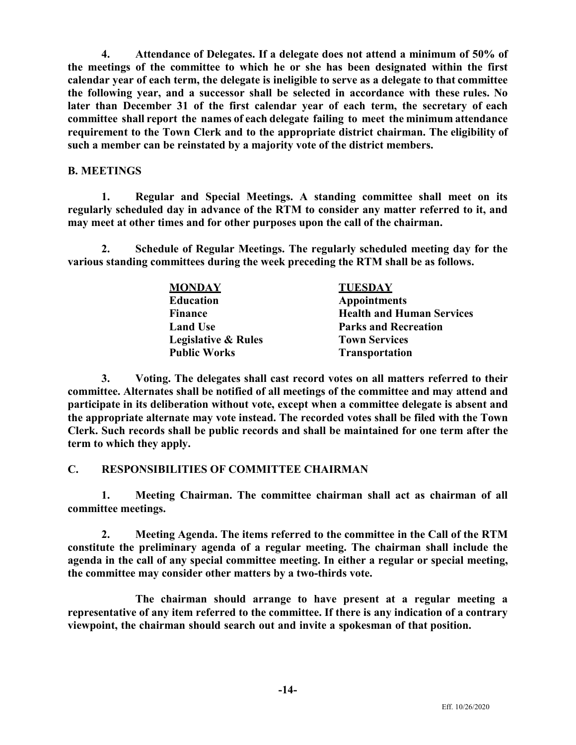**4. Attendance of Delegates. If a delegate does not attend a minimum of 50% of the meetings of the committee to which he or she has been designated within the first calendar year of each term, the delegate is ineligible to serve as a delegate to that committee the following year, and a successor shall be selected in accordance with these rules. No later than December 31 of the first calendar year of each term, the secretary of each committee shall report the names of each delegate failing to meet the minimum attendance requirement to the Town Clerk and to the appropriate district chairman. The eligibility of such a member can be reinstated by a majority vote of the district members.**

### **B. MEETINGS**

**1. Regular and Special Meetings. A standing committee shall meet on its regularly scheduled day in advance of the RTM to consider any matter referred to it, and may meet at other times and for other purposes upon the call of the chairman.**

**2. Schedule of Regular Meetings. The regularly scheduled meeting day for the various standing committees during the week preceding the RTM shall be as follows.**

| <b>MONDAY</b>                  | <b>TUESDAY</b>                   |
|--------------------------------|----------------------------------|
| <b>Education</b>               | <b>Appointments</b>              |
| <b>Finance</b>                 | <b>Health and Human Services</b> |
| <b>Land Use</b>                | <b>Parks and Recreation</b>      |
| <b>Legislative &amp; Rules</b> | <b>Town Services</b>             |
| <b>Public Works</b>            | <b>Transportation</b>            |

**3. Voting. The delegates shall cast record votes on all matters referred to their committee. Alternates shall be notified of all meetings of the committee and may attend and participate in its deliberation without vote, except when a committee delegate is absent and the appropriate alternate may vote instead. The recorded votes shall be filed with the Town Clerk. Such records shall be public records and shall be maintained for one term after the term to which they apply.**

### **C. RESPONSIBILITIES OF COMMITTEE CHAIRMAN**

**1. Meeting Chairman. The committee chairman shall act as chairman of all committee meetings.**

**2. Meeting Agenda. The items referred to the committee in the Call of the RTM constitute the preliminary agenda of a regular meeting. The chairman shall include the agenda in the call of any special committee meeting. In either a regular or special meeting, the committee may consider other matters by a two-thirds vote.**

**The chairman should arrange to have present at a regular meeting a representative of any item referred to the committee. If there is any indication of a contrary viewpoint, the chairman should search out and invite a spokesman of that position.**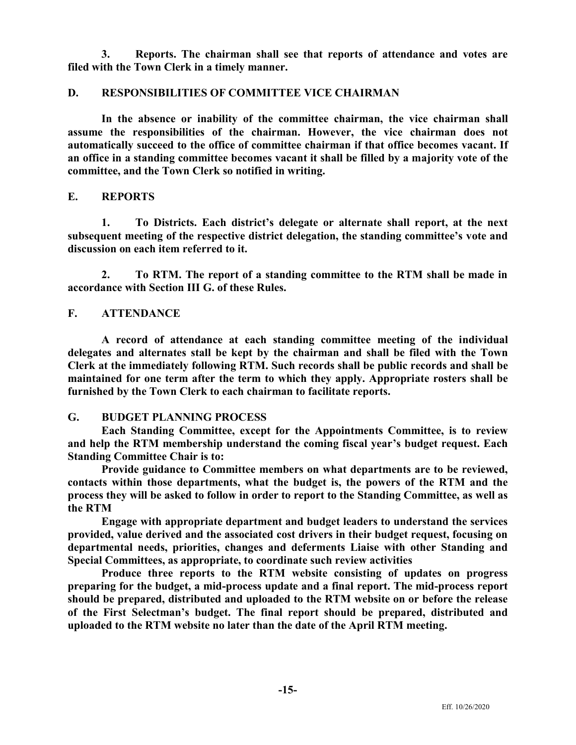**3. Reports. The chairman shall see that reports of attendance and votes are filed with the Town Clerk in a timely manner.**

### **D. RESPONSIBILITIES OF COMMITTEE VICE CHAIRMAN**

**In the absence or inability of the committee chairman, the vice chairman shall assume the responsibilities of the chairman. However, the vice chairman does not automatically succeed to the office of committee chairman if that office becomes vacant. If an office in a standing committee becomes vacant it shall be filled by a majority vote of the committee, and the Town Clerk so notified in writing.**

### **E. REPORTS**

**1. To Districts. Each district's delegate or alternate shall report, at the next subsequent meeting of the respective district delegation, the standing committee's vote and discussion on each item referred to it.**

**2. To RTM. The report of a standing committee to the RTM shall be made in accordance with Section III G. of these Rules.**

#### **F. ATTENDANCE**

**A record of attendance at each standing committee meeting of the individual delegates and alternates stall be kept by the chairman and shall be filed with the Town Clerk at the immediately following RTM. Such records shall be public records and shall be maintained for one term after the term to which they apply. Appropriate rosters shall be furnished by the Town Clerk to each chairman to facilitate reports.**

#### **G. BUDGET PLANNING PROCESS**

**Each Standing Committee, except for the Appointments Committee, is to review and help the RTM membership understand the coming fiscal year's budget request. Each Standing Committee Chair is to:**

**Provide guidance to Committee members on what departments are to be reviewed, contacts within those departments, what the budget is, the powers of the RTM and the process they will be asked to follow in order to report to the Standing Committee, as well as the RTM**

**Engage with appropriate department and budget leaders to understand the services provided, value derived and the associated cost drivers in their budget request, focusing on departmental needs, priorities, changes and deferments Liaise with other Standing and Special Committees, as appropriate, to coordinate such review activities**

**Produce three reports to the RTM website consisting of updates on progress preparing for the budget, a mid-process update and a final report. The mid-process report should be prepared, distributed and uploaded to the RTM website on or before the release of the First Selectman's budget. The final report should be prepared, distributed and uploaded to the RTM website no later than the date of the April RTM meeting.**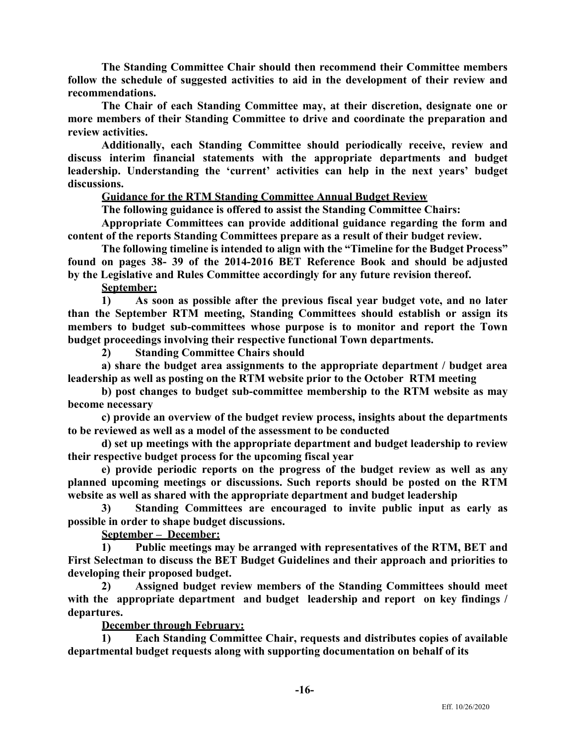**The Standing Committee Chair should then recommend their Committee members follow the schedule of suggested activities to aid in the development of their review and recommendations.**

**The Chair of each Standing Committee may, at their discretion, designate one or more members of their Standing Committee to drive and coordinate the preparation and review activities.**

**Additionally, each Standing Committee should periodically receive, review and discuss interim financial statements with the appropriate departments and budget leadership. Understanding the 'current' activities can help in the next years' budget discussions.**

### **Guidance for the RTM Standing Committee Annual Budget Review**

**The following guidance is offered to assist the Standing Committee Chairs:**

**Appropriate Committees can provide additional guidance regarding the form and content of the reports Standing Committees prepare as a result of their budget review.**

**The following timeline is intended to align with the "Timeline for the Budget Process" found on pages 38- 39 of the 2014-2016 BET Reference Book and should be adjusted by the Legislative and Rules Committee accordingly for any future revision thereof.**

### **September:**

**1) As soon as possible after the previous fiscal year budget vote, and no later than the September RTM meeting, Standing Committees should establish or assign its members to budget sub-committees whose purpose is to monitor and report the Town budget proceedings involving their respective functional Town departments.**

**2) Standing Committee Chairs should**

**a) share the budget area assignments to the appropriate department / budget area leadership as well as posting on the RTM website prior to the October RTM meeting**

**b) post changes to budget sub-committee membership to the RTM website as may become necessary**

**c) provide an overview of the budget review process, insights about the departments to be reviewed as well as a model of the assessment to be conducted**

**d) set up meetings with the appropriate department and budget leadership to review their respective budget process for the upcoming fiscal year**

**e) provide periodic reports on the progress of the budget review as well as any planned upcoming meetings or discussions. Such reports should be posted on the RTM website as well as shared with the appropriate department and budget leadership**

**3) Standing Committees are encouraged to invite public input as early as possible in order to shape budget discussions.**

### **September – December:**

**1) Public meetings may be arranged with representatives of the RTM, BET and First Selectman to discuss the BET Budget Guidelines and their approach and priorities to developing their proposed budget.**

**2) Assigned budget review members of the Standing Committees should meet with the appropriate department and budget leadership and report on key findings / departures.**

**December through February:**

**1) Each Standing Committee Chair, requests and distributes copies of available departmental budget requests along with supporting documentation on behalf of its**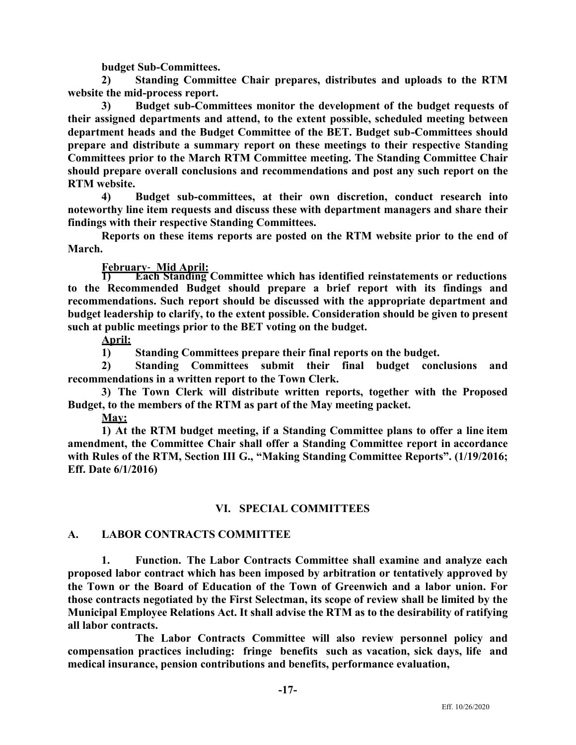**budget Sub-Committees.**

**2) Standing Committee Chair prepares, distributes and uploads to the RTM website the mid-process report.**

**3) Budget sub-Committees monitor the development of the budget requests of their assigned departments and attend, to the extent possible, scheduled meeting between department heads and the Budget Committee of the BET. Budget sub-Committees should prepare and distribute a summary report on these meetings to their respective Standing Committees prior to the March RTM Committee meeting. The Standing Committee Chair should prepare overall conclusions and recommendations and post any such report on the RTM website.**

**4) Budget sub-committees, at their own discretion, conduct research into noteworthy line item requests and discuss these with department managers and share their findings with their respective Standing Committees.**

**Reports on these items reports are posted on the RTM website prior to the end of March.**

**February**- **Mid April: 1) Each Standing Committee which has identified reinstatements or reductions to the Recommended Budget should prepare a brief report with its findings and recommendations. Such report should be discussed with the appropriate department and budget leadership to clarify, to the extent possible. Consideration should be given to present such at public meetings prior to the BET voting on the budget.**

**April:**

**1) Standing Committees prepare their final reports on the budget.**

**2) Standing Committees submit their final budget conclusions and recommendations in a written report to the Town Clerk.**

**3) The Town Clerk will distribute written reports, together with the Proposed Budget, to the members of the RTM as part of the May meeting packet.**

**May:**

**1) At the RTM budget meeting, if a Standing Committee plans to offer a line item amendment, the Committee Chair shall offer a Standing Committee report in accordance with Rules of the RTM, Section III G., "Making Standing Committee Reports". (1/19/2016; Eff. Date 6/1/2016)**

### **VI. SPECIAL COMMITTEES**

### **A. LABOR CONTRACTS COMMITTEE**

**1. Function. The Labor Contracts Committee shall examine and analyze each proposed labor contract which has been imposed by arbitration or tentatively approved by the Town or the Board of Education of the Town of Greenwich and a labor union. For those contracts negotiated by the First Selectman, its scope of review shall be limited by the Municipal Employee Relations Act. It shall advise the RTM as to the desirability of ratifying all labor contracts.**

**The Labor Contracts Committee will also review personnel policy and compensation practices including: fringe benefits such as vacation, sick days, life and medical insurance, pension contributions and benefits, performance evaluation,**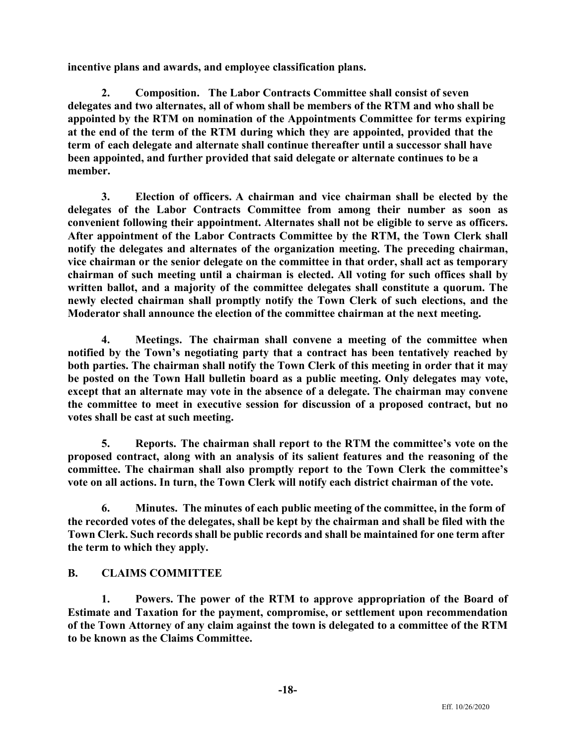**incentive plans and awards, and employee classification plans.**

**2. Composition. The Labor Contracts Committee shall consist of seven delegates and two alternates, all of whom shall be members of the RTM and who shall be appointed by the RTM on nomination of the Appointments Committee for terms expiring at the end of the term of the RTM during which they are appointed, provided that the term of each delegate and alternate shall continue thereafter until a successor shall have been appointed, and further provided that said delegate or alternate continues to be a member.**

**3. Election of officers. A chairman and vice chairman shall be elected by the delegates of the Labor Contracts Committee from among their number as soon as convenient following their appointment. Alternates shall not be eligible to serve as officers. After appointment of the Labor Contracts Committee by the RTM, the Town Clerk shall notify the delegates and alternates of the organization meeting. The preceding chairman, vice chairman or the senior delegate on the committee in that order, shall act as temporary chairman of such meeting until a chairman is elected. All voting for such offices shall by written ballot, and a majority of the committee delegates shall constitute a quorum. The newly elected chairman shall promptly notify the Town Clerk of such elections, and the Moderator shall announce the election of the committee chairman at the next meeting.**

**4. Meetings. The chairman shall convene a meeting of the committee when notified by the Town's negotiating party that a contract has been tentatively reached by both parties. The chairman shall notify the Town Clerk of this meeting in order that it may be posted on the Town Hall bulletin board as a public meeting. Only delegates may vote, except that an alternate may vote in the absence of a delegate. The chairman may convene the committee to meet in executive session for discussion of a proposed contract, but no votes shall be cast at such meeting.**

**5. Reports. The chairman shall report to the RTM the committee's vote on the proposed contract, along with an analysis of its salient features and the reasoning of the committee. The chairman shall also promptly report to the Town Clerk the committee's vote on all actions. In turn, the Town Clerk will notify each district chairman of the vote.**

**6. Minutes. The minutes of each public meeting of the committee, in the form of the recorded votes of the delegates, shall be kept by the chairman and shall be filed with the Town Clerk. Such records shall be public records and shall be maintained for one term after the term to which they apply.**

### **B. CLAIMS COMMITTEE**

**1. Powers. The power of the RTM to approve appropriation of the Board of Estimate and Taxation for the payment, compromise, or settlement upon recommendation of the Town Attorney of any claim against the town is delegated to a committee of the RTM to be known as the Claims Committee.**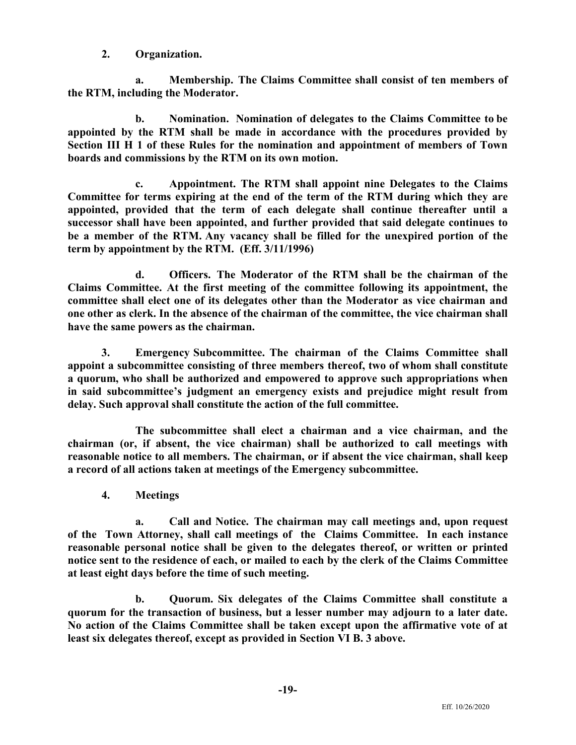**2. Organization.**

**a. Membership. The Claims Committee shall consist of ten members of the RTM, including the Moderator.**

**b. Nomination. Nomination of delegates to the Claims Committee to be appointed by the RTM shall be made in accordance with the procedures provided by Section III H 1 of these Rules for the nomination and appointment of members of Town boards and commissions by the RTM on its own motion.**

**c. Appointment. The RTM shall appoint nine Delegates to the Claims Committee for terms expiring at the end of the term of the RTM during which they are appointed, provided that the term of each delegate shall continue thereafter until a successor shall have been appointed, and further provided that said delegate continues to be a member of the RTM. Any vacancy shall be filled for the unexpired portion of the term by appointment by the RTM. (Eff. 3/11/1996)**

**d. Officers. The Moderator of the RTM shall be the chairman of the Claims Committee. At the first meeting of the committee following its appointment, the committee shall elect one of its delegates other than the Moderator as vice chairman and one other as clerk. In the absence of the chairman of the committee, the vice chairman shall have the same powers as the chairman.**

**3. Emergency Subcommittee. The chairman of the Claims Committee shall appoint a subcommittee consisting of three members thereof, two of whom shall constitute a quorum, who shall be authorized and empowered to approve such appropriations when in said subcommittee's judgment an emergency exists and prejudice might result from delay. Such approval shall constitute the action of the full committee.**

**The subcommittee shall elect a chairman and a vice chairman, and the chairman (or, if absent, the vice chairman) shall be authorized to call meetings with reasonable notice to all members. The chairman, or if absent the vice chairman, shall keep a record of all actions taken at meetings of the Emergency subcommittee.**

**4. Meetings**

**a. Call and Notice. The chairman may call meetings and, upon request of the Town Attorney, shall call meetings of the Claims Committee. In each instance reasonable personal notice shall be given to the delegates thereof, or written or printed notice sent to the residence of each, or mailed to each by the clerk of the Claims Committee at least eight days before the time of such meeting.**

**b. Quorum. Six delegates of the Claims Committee shall constitute a quorum for the transaction of business, but a lesser number may adjourn to a later date. No action of the Claims Committee shall be taken except upon the affirmative vote of at least six delegates thereof, except as provided in Section VI B. 3 above.**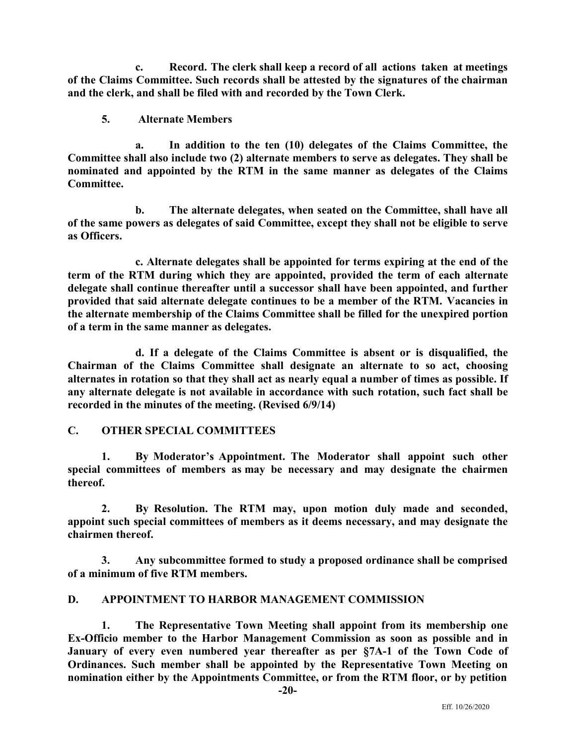**c. Record. The clerk shall keep a record of all actions taken at meetings of the Claims Committee. Such records shall be attested by the signatures of the chairman and the clerk, and shall be filed with and recorded by the Town Clerk.**

**5. Alternate Members**

**a. In addition to the ten (10) delegates of the Claims Committee, the Committee shall also include two (2) alternate members to serve as delegates. They shall be nominated and appointed by the RTM in the same manner as delegates of the Claims Committee.**

**b. The alternate delegates, when seated on the Committee, shall have all of the same powers as delegates of said Committee, except they shall not be eligible to serve as Officers.**

**c. Alternate delegates shall be appointed for terms expiring at the end of the term of the RTM during which they are appointed, provided the term of each alternate delegate shall continue thereafter until a successor shall have been appointed, and further provided that said alternate delegate continues to be a member of the RTM. Vacancies in the alternate membership of the Claims Committee shall be filled for the unexpired portion of a term in the same manner as delegates.**

**d. If a delegate of the Claims Committee is absent or is disqualified, the Chairman of the Claims Committee shall designate an alternate to so act, choosing alternates in rotation so that they shall act as nearly equal a number of times as possible. If any alternate delegate is not available in accordance with such rotation, such fact shall be recorded in the minutes of the meeting. (Revised 6/9/14)**

### **C. OTHER SPECIAL COMMITTEES**

**1. By Moderator's Appointment. The Moderator shall appoint such other special committees of members as may be necessary and may designate the chairmen thereof.**

**2. By Resolution. The RTM may, upon motion duly made and seconded, appoint such special committees of members as it deems necessary, and may designate the chairmen thereof.**

**3. Any subcommittee formed to study a proposed ordinance shall be comprised of a minimum of five RTM members.**

### **D. APPOINTMENT TO HARBOR MANAGEMENT COMMISSION**

**1. The Representative Town Meeting shall appoint from its membership one Ex-Officio member to the Harbor Management Commission as soon as possible and in January of every even numbered year thereafter as per §7A-1 of the Town Code of Ordinances. Such member shall be appointed by the Representative Town Meeting on nomination either by the Appointments Committee, or from the RTM floor, or by petition**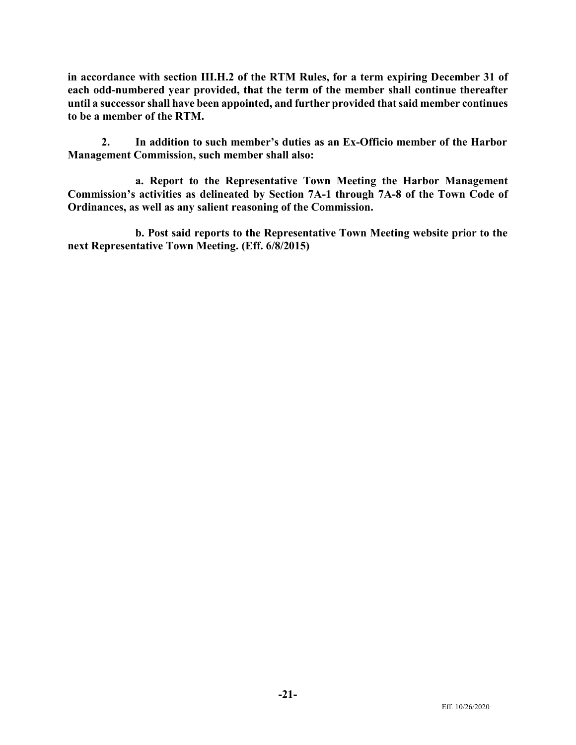**in accordance with section III.H.2 of the RTM Rules, for a term expiring December 31 of each odd-numbered year provided, that the term of the member shall continue thereafter until a successor shall have been appointed, and further provided that said member continues to be a member of the RTM.**

**2. In addition to such member's duties as an Ex-Officio member of the Harbor Management Commission, such member shall also:**

**a. Report to the Representative Town Meeting the Harbor Management Commission's activities as delineated by Section 7A-1 through 7A-8 of the Town Code of Ordinances, as well as any salient reasoning of the Commission.**

**b. Post said reports to the Representative Town Meeting website prior to the next Representative Town Meeting. (Eff. 6/8/2015)**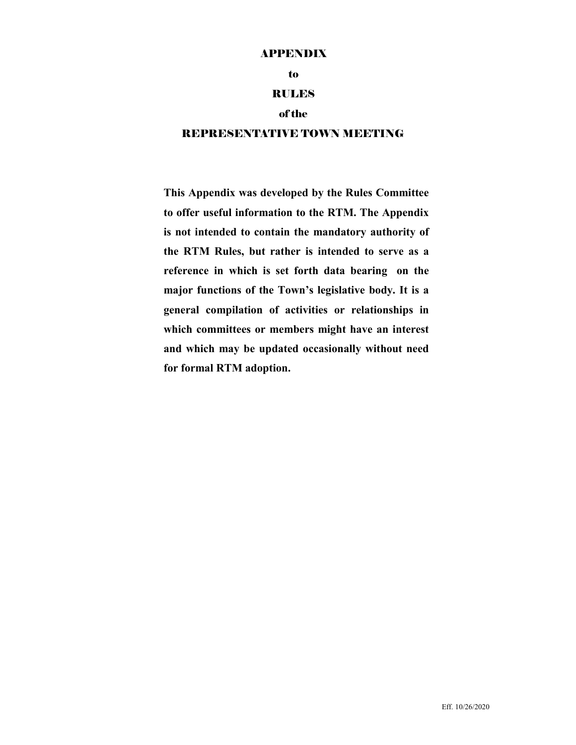#### APPENDIX

#### to

### RULES

#### of the

#### REPRESENTATIVE TOWN MEETING

**This Appendix was developed by the Rules Committee to offer useful information to the RTM. The Appendix is not intended to contain the mandatory authority of the RTM Rules, but rather is intended to serve as a reference in which is set forth data bearing on the major functions of the Town's legislative body. It is a general compilation of activities or relationships in which committees or members might have an interest and which may be updated occasionally without need for formal RTM adoption.**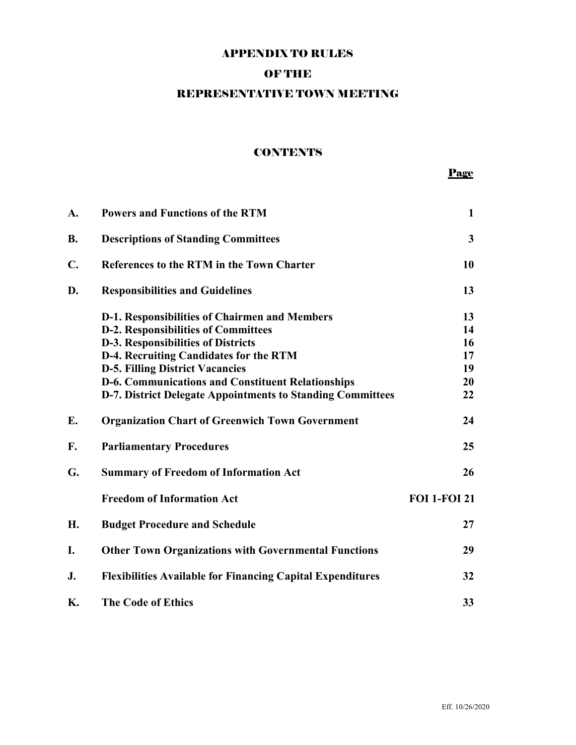## APPENDIX TO RULES

### OF THE

### REPRESENTATIVE TOWN MEETING

### **CONTENTS**

#### Page

| A.             | <b>Powers and Functions of the RTM</b>                            | $\mathbf{1}$        |
|----------------|-------------------------------------------------------------------|---------------------|
| <b>B.</b>      | <b>Descriptions of Standing Committees</b>                        | $\mathbf{3}$        |
| $\mathbf{C}$ . | References to the RTM in the Town Charter                         | 10                  |
| D.             | <b>Responsibilities and Guidelines</b>                            | 13                  |
|                | D-1. Responsibilities of Chairmen and Members                     | 13                  |
|                | <b>D-2. Responsibilities of Committees</b>                        | 14                  |
|                | D-3. Responsibilities of Districts                                | 16                  |
|                | D-4. Recruiting Candidates for the RTM                            | 17                  |
|                | <b>D-5. Filling District Vacancies</b>                            | 19                  |
|                | D-6. Communications and Constituent Relationships                 | 20                  |
|                | D-7. District Delegate Appointments to Standing Committees        | 22                  |
| E.             | <b>Organization Chart of Greenwich Town Government</b>            | 24                  |
| F.             | <b>Parliamentary Procedures</b>                                   | 25                  |
| G.             | <b>Summary of Freedom of Information Act</b>                      | 26                  |
|                | <b>Freedom of Information Act</b>                                 | <b>FOI 1-FOI 21</b> |
| H.             | <b>Budget Procedure and Schedule</b>                              | 27                  |
| I.             | <b>Other Town Organizations with Governmental Functions</b>       | 29                  |
| J.             | <b>Flexibilities Available for Financing Capital Expenditures</b> | 32                  |
| Κ.             | <b>The Code of Ethics</b>                                         | 33                  |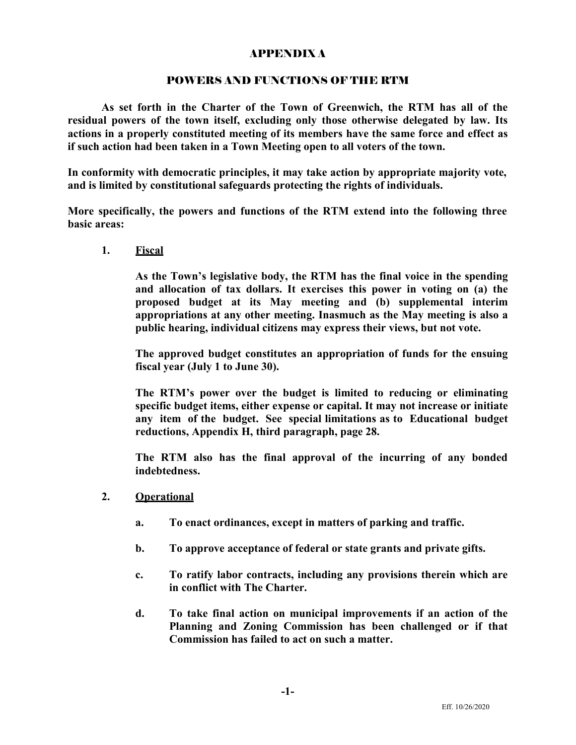### APPENDIX A

#### POWERS AND FUNCTIONS OF THE RTM

**As set forth in the Charter of the Town of Greenwich, the RTM has all of the residual powers of the town itself, excluding only those otherwise delegated by law. Its actions in a properly constituted meeting of its members have the same force and effect as if such action had been taken in a Town Meeting open to all voters of the town.**

**In conformity with democratic principles, it may take action by appropriate majority vote, and is limited by constitutional safeguards protecting the rights of individuals.**

**More specifically, the powers and functions of the RTM extend into the following three basic areas:**

**1. Fiscal**

**As the Town's legislative body, the RTM has the final voice in the spending and allocation of tax dollars. It exercises this power in voting on (a) the proposed budget at its May meeting and (b) supplemental interim appropriations at any other meeting. Inasmuch as the May meeting is also a public hearing, individual citizens may express their views, but not vote.**

**The approved budget constitutes an appropriation of funds for the ensuing fiscal year (July 1 to June 30).**

**The RTM's power over the budget is limited to reducing or eliminating specific budget items, either expense or capital. It may not increase or initiate any item of the budget. See special limitations as to Educational budget reductions, Appendix H, third paragraph, page 28.**

**The RTM also has the final approval of the incurring of any bonded indebtedness.**

- **2. Operational**
	- **a. To enact ordinances, except in matters of parking and traffic.**
	- **b. To approve acceptance of federal or state grants and private gifts.**
	- **c. To ratify labor contracts, including any provisions therein which are in conflict with The Charter.**
	- **d. To take final action on municipal improvements if an action of the Planning and Zoning Commission has been challenged or if that Commission has failed to act on such a matter.**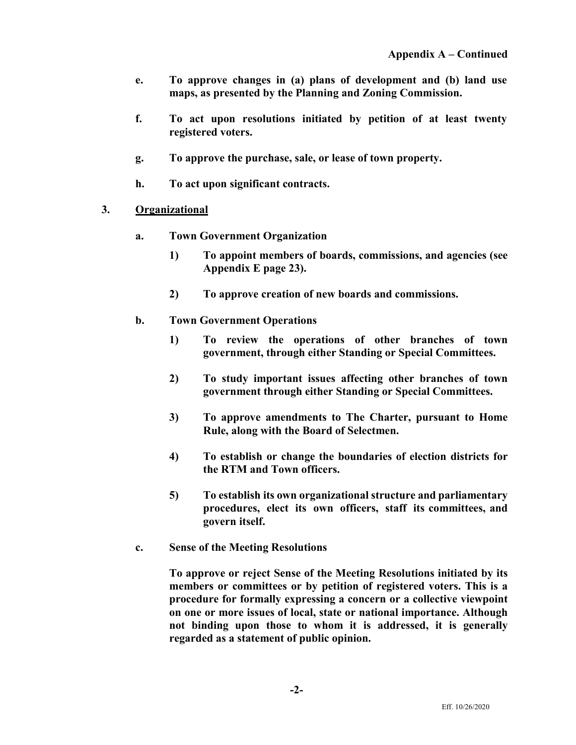- **e. To approve changes in (a) plans of development and (b) land use maps, as presented by the Planning and Zoning Commission.**
- **f. To act upon resolutions initiated by petition of at least twenty registered voters.**
- **g. To approve the purchase, sale, or lease of town property.**
- **h. To act upon significant contracts.**
- **3. Organizational**
	- **a. Town Government Organization**
		- **1) To appoint members of boards, commissions, and agencies (see Appendix E page 23).**
		- **2) To approve creation of new boards and commissions.**
	- **b. Town Government Operations**
		- **1) To review the operations of other branches of town government, through either Standing or Special Committees.**
		- **2) To study important issues affecting other branches of town government through either Standing or Special Committees.**
		- **3) To approve amendments to The Charter, pursuant to Home Rule, along with the Board of Selectmen.**
		- **4) To establish or change the boundaries of election districts for the RTM and Town officers.**
		- **5) To establish its own organizational structure and parliamentary procedures, elect its own officers, staff its committees, and govern itself.**
	- **c. Sense of the Meeting Resolutions**

**To approve or reject Sense of the Meeting Resolutions initiated by its members or committees or by petition of registered voters. This is a procedure for formally expressing a concern or a collective viewpoint on one or more issues of local, state or national importance. Although not binding upon those to whom it is addressed, it is generally regarded as a statement of public opinion.**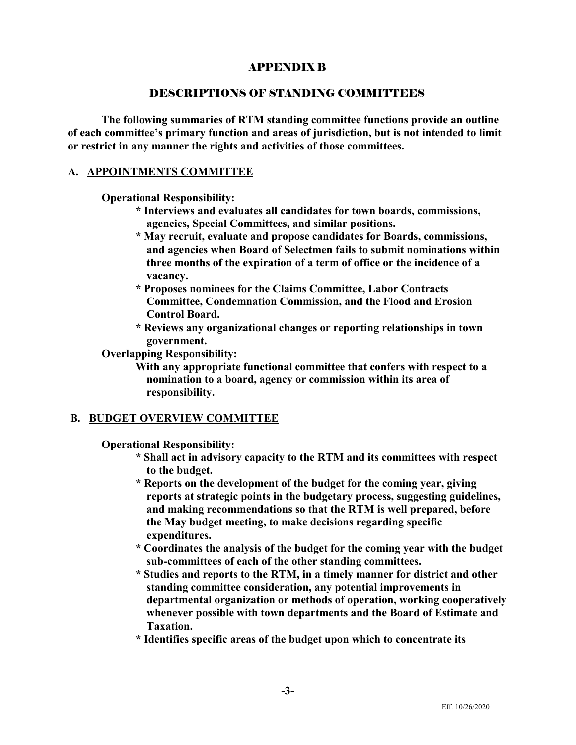### APPENDIX B

#### DESCRIPTIONS OF STANDING COMMITTEES

**The following summaries of RTM standing committee functions provide an outline of each committee's primary function and areas of jurisdiction, but is not intended to limit or restrict in any manner the rights and activities of those committees.**

#### **A. APPOINTMENTS COMMITTEE**

**Operational Responsibility:**

- **\* Interviews and evaluates all candidates for town boards, commissions, agencies, Special Committees, and similar positions.**
- **\* May recruit, evaluate and propose candidates for Boards, commissions, and agencies when Board of Selectmen fails to submit nominations within three months of the expiration of a term of office or the incidence of a vacancy.**
- **\* Proposes nominees for the Claims Committee, Labor Contracts Committee, Condemnation Commission, and the Flood and Erosion Control Board.**
- **\* Reviews any organizational changes or reporting relationships in town government.**

**Overlapping Responsibility:**

**With any appropriate functional committee that confers with respect to a nomination to a board, agency or commission within its area of responsibility.**

### **B. BUDGET OVERVIEW COMMITTEE**

**Operational Responsibility:**

- **\* Shall act in advisory capacity to the RTM and its committees with respect to the budget.**
- **\* Reports on the development of the budget for the coming year, giving reports at strategic points in the budgetary process, suggesting guidelines, and making recommendations so that the RTM is well prepared, before the May budget meeting, to make decisions regarding specific expenditures.**
- **\* Coordinates the analysis of the budget for the coming year with the budget sub-committees of each of the other standing committees.**
- **\* Studies and reports to the RTM, in a timely manner for district and other standing committee consideration, any potential improvements in departmental organization or methods of operation, working cooperatively whenever possible with town departments and the Board of Estimate and Taxation.**
- **\* Identifies specific areas of the budget upon which to concentrate its**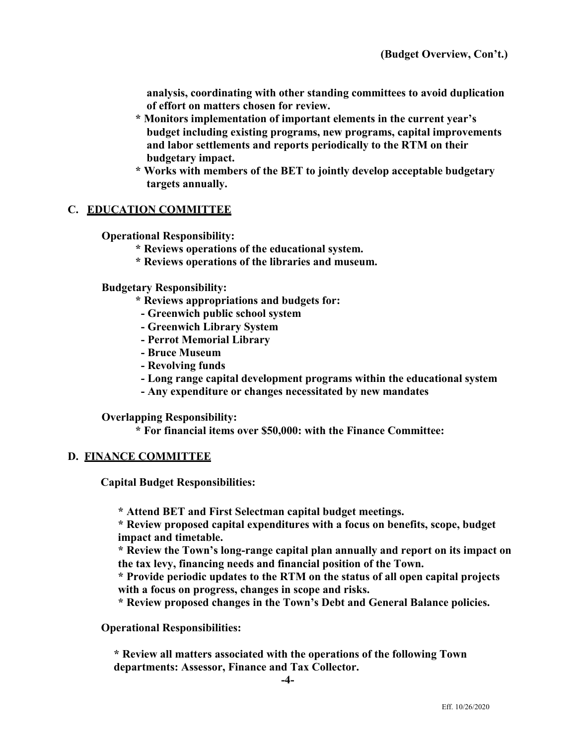**analysis, coordinating with other standing committees to avoid duplication of effort on matters chosen for review.**

- **\* Monitors implementation of important elements in the current year's budget including existing programs, new programs, capital improvements and labor settlements and reports periodically to the RTM on their budgetary impact.**
- **\* Works with members of the BET to jointly develop acceptable budgetary targets annually.**

### **C. EDUCATION COMMITTEE**

**Operational Responsibility:**

- **\* Reviews operations of the educational system.**
- **\* Reviews operations of the libraries and museum.**

**Budgetary Responsibility:**

- **\* Reviews appropriations and budgets for:**
- **- Greenwich public school system**
- **- Greenwich Library System**
- **- Perrot Memorial Library**
- **- Bruce Museum**
- **- Revolving funds**
- **- Long range capital development programs within the educational system**
- **- Any expenditure or changes necessitated by new mandates**

**Overlapping Responsibility:**

**\* For financial items over \$50,000: with the Finance Committee:**

#### **D. FINANCE COMMITTEE**

**Capital Budget Responsibilities:** 

 **\* Attend BET and First Selectman capital budget meetings.** 

 **\* Review proposed capital expenditures with a focus on benefits, scope, budget impact and timetable.** 

 **\* Review the Town's long-range capital plan annually and report on its impact on the tax levy, financing needs and financial position of the Town.** 

 **\* Provide periodic updates to the RTM on the status of all open capital projects with a focus on progress, changes in scope and risks.** 

 **\* Review proposed changes in the Town's Debt and General Balance policies.** 

**Operational Responsibilities:** 

 **\* Review all matters associated with the operations of the following Town departments: Assessor, Finance and Tax Collector.**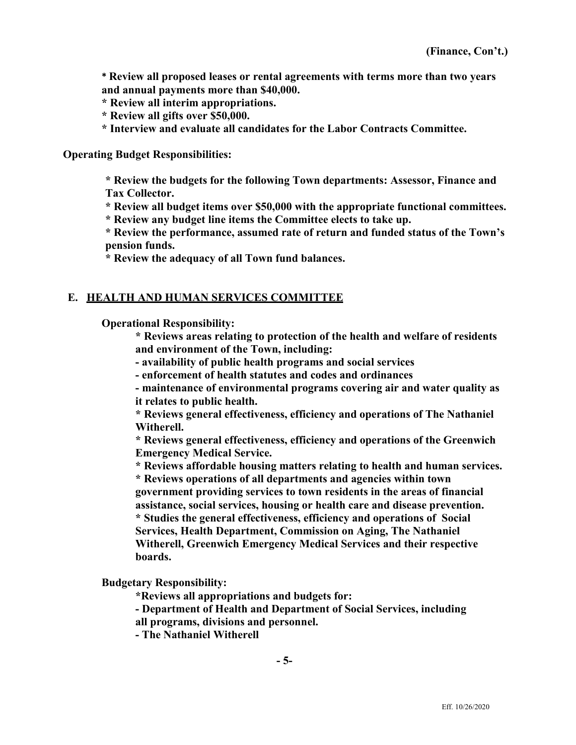**\* Review all proposed leases or rental agreements with terms more than two years and annual payments more than \$40,000.** 

- **\* Review all interim appropriations.**
- **\* Review all gifts over \$50,000.**
- **\* Interview and evaluate all candidates for the Labor Contracts Committee.**

**Operating Budget Responsibilities:** 

**\* Review the budgets for the following Town departments: Assessor, Finance and Tax Collector.** 

- **\* Review all budget items over \$50,000 with the appropriate functional committees.**
- **\* Review any budget line items the Committee elects to take up.**

**\* Review the performance, assumed rate of return and funded status of the Town's pension funds.** 

**\* Review the adequacy of all Town fund balances.**

#### **E. HEALTH AND HUMAN SERVICES COMMITTEE**

**Operational Responsibility:**

**\* Reviews areas relating to protection of the health and welfare of residents and environment of the Town, including:**

- **- availability of public health programs and social services**
- **- enforcement of health statutes and codes and ordinances**

**- maintenance of environmental programs covering air and water quality as it relates to public health.**

**\* Reviews general effectiveness, efficiency and operations of The Nathaniel Witherell.**

**\* Reviews general effectiveness, efficiency and operations of the Greenwich Emergency Medical Service.**

**\* Reviews affordable housing matters relating to health and human services.**

**\* Reviews operations of all departments and agencies within town government providing services to town residents in the areas of financial assistance, social services, housing or health care and disease prevention. \* Studies the general effectiveness, efficiency and operations of Social Services, Health Department, Commission on Aging, The Nathaniel Witherell, Greenwich Emergency Medical Services and their respective boards.**

**Budgetary Responsibility:**

**\*Reviews all appropriations and budgets for:**

**- Department of Health and Department of Social Services, including** 

- **all programs, divisions and personnel.**
- **- The Nathaniel Witherell**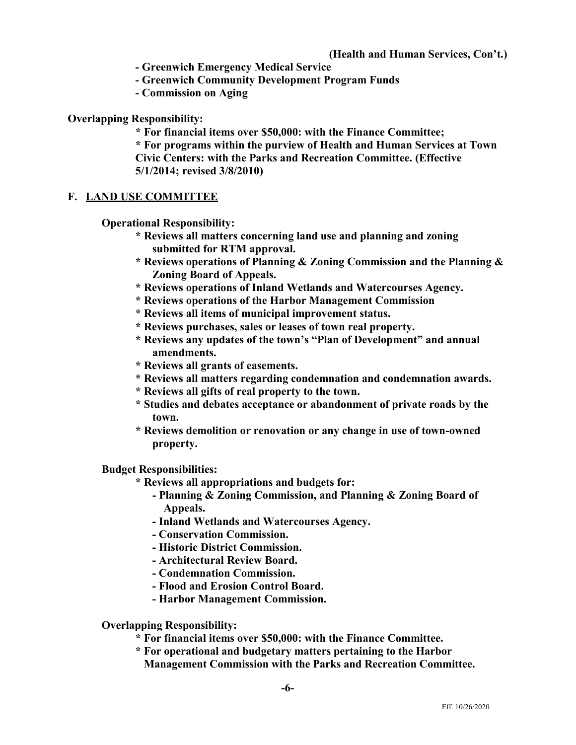- **- Greenwich Emergency Medical Service**
- **- Greenwich Community Development Program Funds**
- **- Commission on Aging**

**Overlapping Responsibility:**

**\* For financial items over \$50,000: with the Finance Committee;**

**\* For programs within the purview of Health and Human Services at Town Civic Centers: with the Parks and Recreation Committee. (Effective 5/1/2014; revised 3/8/2010)**

### **F. LAND USE COMMITTEE**

**Operational Responsibility:**

- **\* Reviews all matters concerning land use and planning and zoning submitted for RTM approval.**
- **\* Reviews operations of Planning & Zoning Commission and the Planning & Zoning Board of Appeals.**
- **\* Reviews operations of Inland Wetlands and Watercourses Agency.**
- **\* Reviews operations of the Harbor Management Commission**
- **\* Reviews all items of municipal improvement status.**
- **\* Reviews purchases, sales or leases of town real property.**
- **\* Reviews any updates of the town's "Plan of Development" and annual amendments.**
- **\* Reviews all grants of easements.**
- **\* Reviews all matters regarding condemnation and condemnation awards.**
- **\* Reviews all gifts of real property to the town.**
- **\* Studies and debates acceptance or abandonment of private roads by the town.**
- **\* Reviews demolition or renovation or any change in use of town-owned property.**

**Budget Responsibilities:**

- **\* Reviews all appropriations and budgets for:**
	- **- Planning & Zoning Commission, and Planning & Zoning Board of Appeals.**
	- **- Inland Wetlands and Watercourses Agency.**
	- **- Conservation Commission.**
	- **- Historic District Commission.**
	- **- Architectural Review Board.**
	- **- Condemnation Commission.**
	- **- Flood and Erosion Control Board.**
	- **- Harbor Management Commission.**

### **Overlapping Responsibility:**

- **\* For financial items over \$50,000: with the Finance Committee.**
- **\* For operational and budgetary matters pertaining to the Harbor Management Commission with the Parks and Recreation Committee.**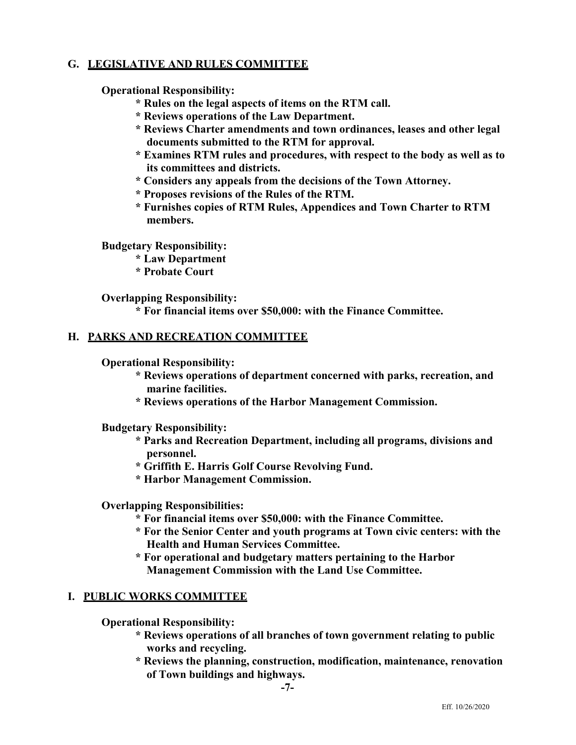### **G. LEGISLATIVE AND RULES COMMITTEE**

**Operational Responsibility:**

- **\* Rules on the legal aspects of items on the RTM call.**
- **\* Reviews operations of the Law Department.**
- **\* Reviews Charter amendments and town ordinances, leases and other legal documents submitted to the RTM for approval.**
- **\* Examines RTM rules and procedures, with respect to the body as well as to its committees and districts.**
- **\* Considers any appeals from the decisions of the Town Attorney.**
- **\* Proposes revisions of the Rules of the RTM.**
- **\* Furnishes copies of RTM Rules, Appendices and Town Charter to RTM members.**

**Budgetary Responsibility:**

- **\* Law Department**
	- **\* Probate Court**

**Overlapping Responsibility:**

**\* For financial items over \$50,000: with the Finance Committee.**

### **H. PARKS AND RECREATION COMMITTEE**

**Operational Responsibility:**

- **\* Reviews operations of department concerned with parks, recreation, and marine facilities.**
- **\* Reviews operations of the Harbor Management Commission.**

**Budgetary Responsibility:**

- **\* Parks and Recreation Department, including all programs, divisions and personnel.**
- **\* Griffith E. Harris Golf Course Revolving Fund.**
- **\* Harbor Management Commission.**

**Overlapping Responsibilities:**

- **\* For financial items over \$50,000: with the Finance Committee.**
- **\* For the Senior Center and youth programs at Town civic centers: with the Health and Human Services Committee.**
- **\* For operational and budgetary matters pertaining to the Harbor Management Commission with the Land Use Committee.**

### **I. PUBLIC WORKS COMMITTEE**

**Operational Responsibility:**

- **\* Reviews operations of all branches of town government relating to public works and recycling.**
- **\* Reviews the planning, construction, modification, maintenance, renovation of Town buildings and highways.**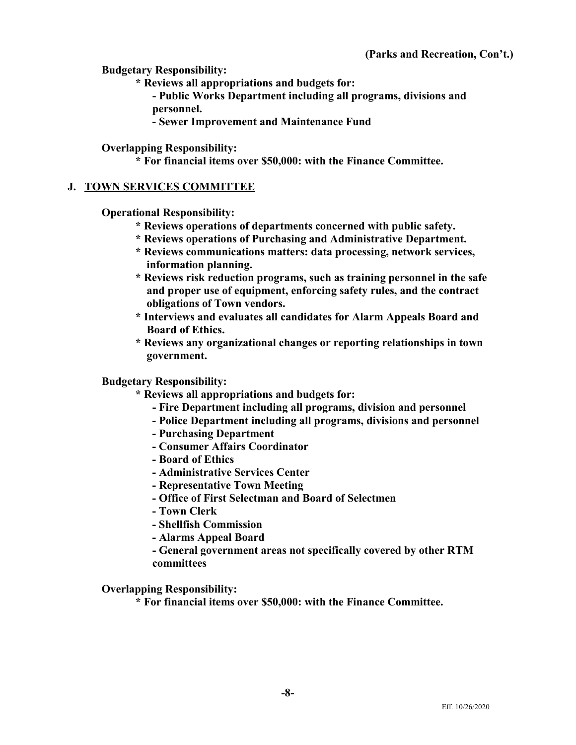**Budgetary Responsibility:**

- **\* Reviews all appropriations and budgets for:**
	- **- Public Works Department including all programs, divisions and personnel.**

**- Sewer Improvement and Maintenance Fund**

### **Overlapping Responsibility:**

**\* For financial items over \$50,000: with the Finance Committee.**

### **J. TOWN SERVICES COMMITTEE**

**Operational Responsibility:**

- **\* Reviews operations of departments concerned with public safety.**
- **\* Reviews operations of Purchasing and Administrative Department.**
- **\* Reviews communications matters: data processing, network services, information planning.**
- **\* Reviews risk reduction programs, such as training personnel in the safe and proper use of equipment, enforcing safety rules, and the contract obligations of Town vendors.**
- **\* Interviews and evaluates all candidates for Alarm Appeals Board and Board of Ethics.**
- **\* Reviews any organizational changes or reporting relationships in town government.**

#### **Budgetary Responsibility:**

- **\* Reviews all appropriations and budgets for:**
	- **- Fire Department including all programs, division and personnel**
	- **- Police Department including all programs, divisions and personnel**
	- **- Purchasing Department**
	- **- Consumer Affairs Coordinator**
	- **- Board of Ethics**
	- **- Administrative Services Center**
	- **- Representative Town Meeting**
	- **- Office of First Selectman and Board of Selectmen**
	- **- Town Clerk**
	- **- Shellfish Commission**
	- **- Alarms Appeal Board**
	- **- General government areas not specifically covered by other RTM committees**

**Overlapping Responsibility:**

**\* For financial items over \$50,000: with the Finance Committee.**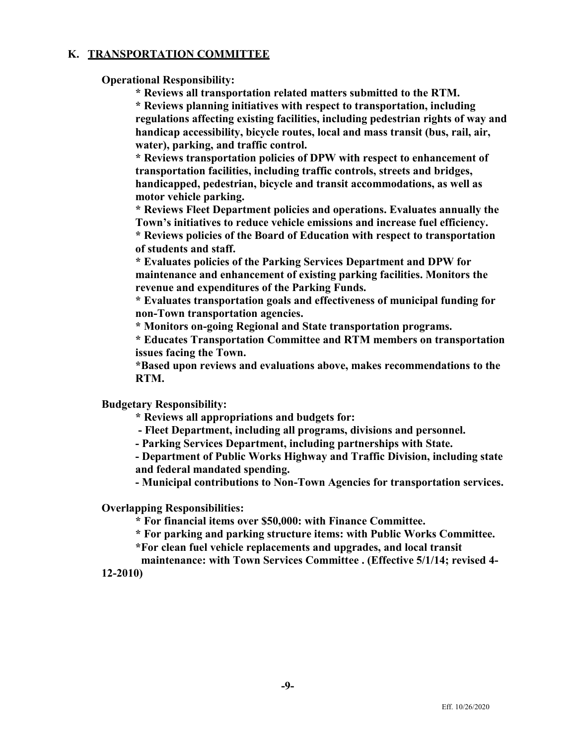### **K. TRANSPORTATION COMMITTEE**

**Operational Responsibility:**

**\* Reviews all transportation related matters submitted to the RTM.**

**\* Reviews planning initiatives with respect to transportation, including regulations affecting existing facilities, including pedestrian rights of way and handicap accessibility, bicycle routes, local and mass transit (bus, rail, air, water), parking, and traffic control.**

**\* Reviews transportation policies of DPW with respect to enhancement of transportation facilities, including traffic controls, streets and bridges, handicapped, pedestrian, bicycle and transit accommodations, as well as motor vehicle parking.**

**\* Reviews Fleet Department policies and operations. Evaluates annually the Town's initiatives to reduce vehicle emissions and increase fuel efficiency.**

**\* Reviews policies of the Board of Education with respect to transportation of students and staff.**

**\* Evaluates policies of the Parking Services Department and DPW for maintenance and enhancement of existing parking facilities. Monitors the revenue and expenditures of the Parking Funds.**

**\* Evaluates transportation goals and effectiveness of municipal funding for non-Town transportation agencies.**

**\* Monitors on-going Regional and State transportation programs.**

**\* Educates Transportation Committee and RTM members on transportation issues facing the Town.**

**\*Based upon reviews and evaluations above, makes recommendations to the RTM.**

**Budgetary Responsibility:**

**\* Reviews all appropriations and budgets for:**

**- Fleet Department, including all programs, divisions and personnel.**

**- Parking Services Department, including partnerships with State.**

**- Department of Public Works Highway and Traffic Division, including state and federal mandated spending.**

**- Municipal contributions to Non-Town Agencies for transportation services.**

**Overlapping Responsibilities:**

**\* For financial items over \$50,000: with Finance Committee.**

**\* For parking and parking structure items: with Public Works Committee.**

**\*For clean fuel vehicle replacements and upgrades, and local transit** 

**maintenance: with Town Services Committee . (Effective 5/1/14; revised 4-**

**12-2010)**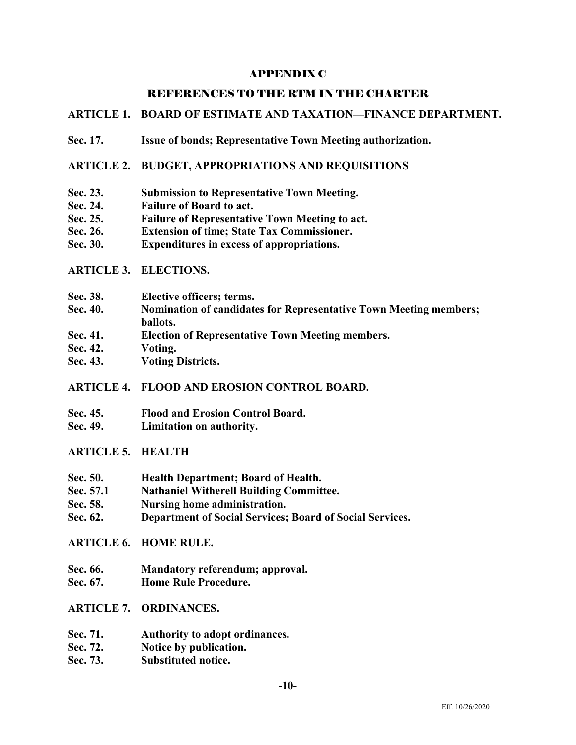#### APPENDIX C

### REFERENCES TO THE RTM IN THE CHARTER

### **ARTICLE 1. BOARD OF ESTIMATE AND TAXATION—FINANCE DEPARTMENT.**

**Sec. 17. Issue of bonds; Representative Town Meeting authorization.** 

#### **ARTICLE 2. BUDGET, APPROPRIATIONS AND REQUISITIONS**

- **Sec. 23. Submission to Representative Town Meeting.**
- **Sec. 24. Failure of Board to act.**
- **Sec. 25. Failure of Representative Town Meeting to act.**
- **Sec. 26. Extension of time; State Tax Commissioner.**
- **Sec. 30. Expenditures in excess of appropriations.**

#### **ARTICLE 3. ELECTIONS.**

- **Sec. 38. Elective officers; terms.**
- **Sec. 40. Nomination of candidates for Representative Town Meeting members; ballots.**
- **Sec. 41. Election of Representative Town Meeting members.**
- **Sec. 42. Voting.**
- **Sec. 43. Voting Districts.**

### **ARTICLE 4. FLOOD AND EROSION CONTROL BOARD.**

- **Sec. 45. Flood and Erosion Control Board.**
- **Sec. 49. Limitation on authority.**

### **ARTICLE 5. HEALTH**

- **Sec. 50. Health Department; Board of Health.**
- **Sec. 57.1 Nathaniel Witherell Building Committee.**
- **Sec. 58. Nursing home administration.**
- **Sec. 62. Department of Social Services; Board of Social Services.**

### **ARTICLE 6. HOME RULE.**

- **Sec. 66. Mandatory referendum; approval.**
- **Sec. 67. Home Rule Procedure.**

### **ARTICLE 7. ORDINANCES.**

- **Sec. 71. Authority to adopt ordinances.**
- **Sec. 72. Notice by publication.**
- **Sec. 73. Substituted notice.**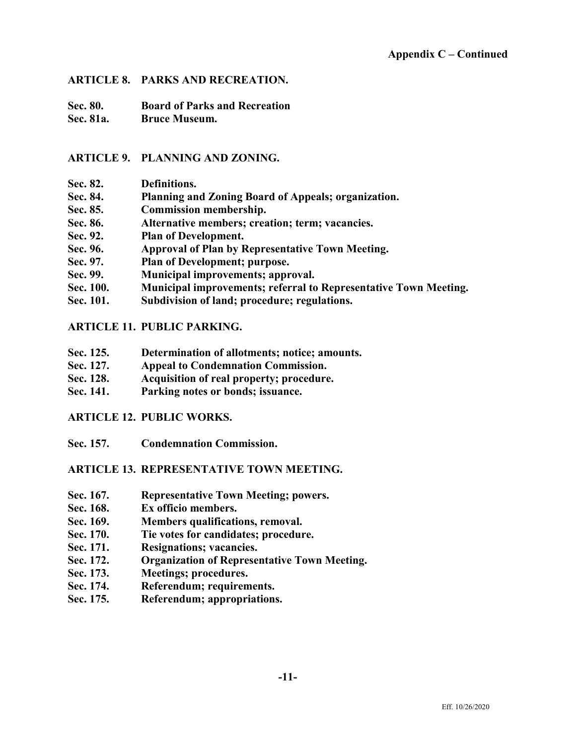### **ARTICLE 8. PARKS AND RECREATION.**

**Sec. 80. Board of Parks and Recreation** 

**Sec. 81a. Bruce Museum.**

### **ARTICLE 9. PLANNING AND ZONING.**

- **Sec. 82. Definitions.**
- **Sec. 84. Planning and Zoning Board of Appeals; organization.**
- **Sec. 85. Commission membership.**
- **Sec. 86. Alternative members; creation; term; vacancies.**
- **Sec. 92. Plan of Development.**
- **Sec. 96. Approval of Plan by Representative Town Meeting.**
- **Sec. 97. Plan of Development; purpose.**
- **Sec. 99. Municipal improvements; approval.**
- **Sec. 100. Municipal improvements; referral to Representative Town Meeting.**
- **Sec. 101. Subdivision of land; procedure; regulations.**

### **ARTICLE 11. PUBLIC PARKING.**

- **Sec. 125. Determination of allotments; notice; amounts.**
- **Sec. 127. Appeal to Condemnation Commission.**
- **Sec. 128. Acquisition of real property; procedure.**
- **Sec. 141. Parking notes or bonds; issuance.**

### **ARTICLE 12. PUBLIC WORKS.**

**Sec. 157. Condemnation Commission.**

### **ARTICLE 13. REPRESENTATIVE TOWN MEETING.**

- **Sec. 167. Representative Town Meeting; powers.**
- **Sec. 168. Ex officio members.**
- **Sec. 169. Members qualifications, removal.**
- **Sec. 170. Tie votes for candidates; procedure.**
- **Sec. 171. Resignations; vacancies.**
- **Sec. 172. Organization of Representative Town Meeting.**
- **Sec. 173. Meetings; procedures.**
- **Sec. 174. Referendum; requirements.**
- **Sec. 175. Referendum; appropriations.**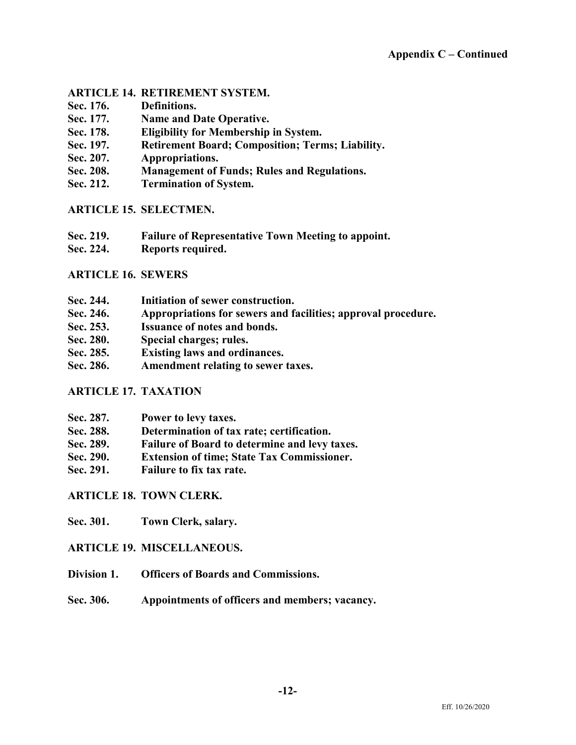### **ARTICLE 14. RETIREMENT SYSTEM.**

- **Sec. 176. Definitions.**
- **Sec. 177. Name and Date Operative.**
- **Sec. 178. Eligibility for Membership in System.**
- **Sec. 197. Retirement Board; Composition; Terms; Liability.**
- **Sec. 207. Appropriations.**
- **Sec. 208. Management of Funds; Rules and Regulations.**
- **Sec. 212. Termination of System.**

### **ARTICLE 15. SELECTMEN.**

- **Sec. 219. Failure of Representative Town Meeting to appoint.**
- **Sec. 224. Reports required.**

### **ARTICLE 16. SEWERS**

- **Sec. 244. Initiation of sewer construction.**
- **Sec. 246. Appropriations for sewers and facilities; approval procedure.**
- **Sec. 253. Issuance of notes and bonds.**
- **Sec. 280. Special charges; rules.**
- **Sec. 285. Existing laws and ordinances.**
- **Sec. 286. Amendment relating to sewer taxes.**

### **ARTICLE 17. TAXATION**

- **Sec. 287. Power to levy taxes.**
- **Sec. 288. Determination of tax rate; certification.**
- **Sec. 289. Failure of Board to determine and levy taxes.**
- **Sec. 290. Extension of time; State Tax Commissioner.**
- **Sec. 291. Failure to fix tax rate.**

### **ARTICLE 18. TOWN CLERK.**

**Sec. 301. Town Clerk, salary.** 

### **ARTICLE 19. MISCELLANEOUS.**

- **Division 1. Officers of Boards and Commissions.**
- **Sec. 306. Appointments of officers and members; vacancy.**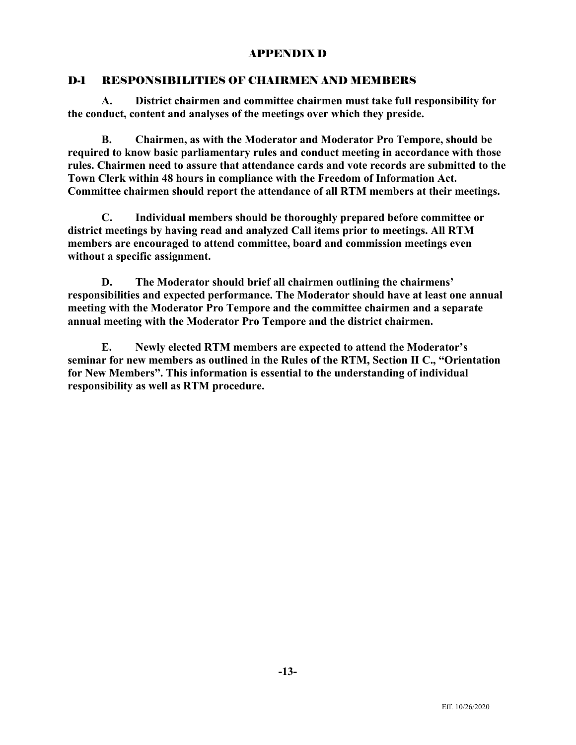### APPENDIX D

### D-1 RESPONSIBILITIES OF CHAIRMEN AND MEMBERS

**A. District chairmen and committee chairmen must take full responsibility for the conduct, content and analyses of the meetings over which they preside.**

**B. Chairmen, as with the Moderator and Moderator Pro Tempore, should be required to know basic parliamentary rules and conduct meeting in accordance with those rules. Chairmen need to assure that attendance cards and vote records are submitted to the Town Clerk within 48 hours in compliance with the Freedom of Information Act. Committee chairmen should report the attendance of all RTM members at their meetings.**

**C. Individual members should be thoroughly prepared before committee or district meetings by having read and analyzed Call items prior to meetings. All RTM members are encouraged to attend committee, board and commission meetings even without a specific assignment.**

**D. The Moderator should brief all chairmen outlining the chairmens' responsibilities and expected performance. The Moderator should have at least one annual meeting with the Moderator Pro Tempore and the committee chairmen and a separate annual meeting with the Moderator Pro Tempore and the district chairmen.**

**E. Newly elected RTM members are expected to attend the Moderator's seminar for new members as outlined in the Rules of the RTM, Section II C., "Orientation for New Members". This information is essential to the understanding of individual responsibility as well as RTM procedure.**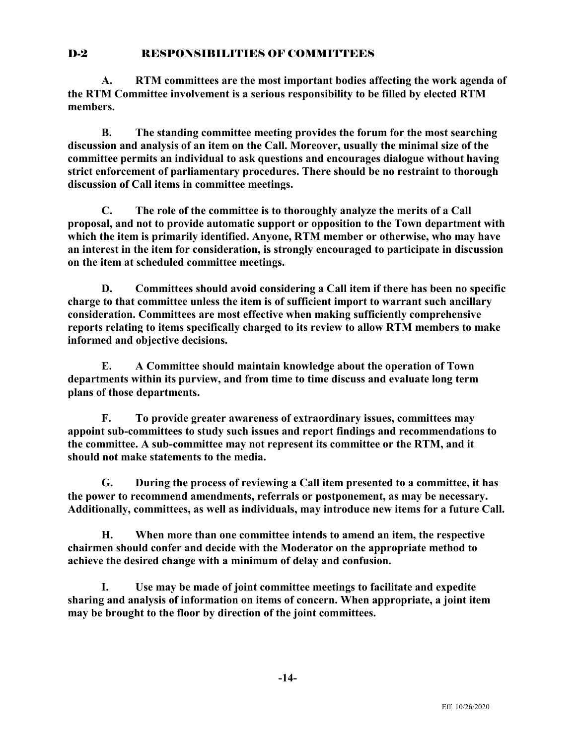### D-2 RESPONSIBILITIES OF COMMITTEES

**A. RTM committees are the most important bodies affecting the work agenda of the RTM Committee involvement is a serious responsibility to be filled by elected RTM members.**

**B. The standing committee meeting provides the forum for the most searching discussion and analysis of an item on the Call. Moreover, usually the minimal size of the committee permits an individual to ask questions and encourages dialogue without having strict enforcement of parliamentary procedures. There should be no restraint to thorough discussion of Call items in committee meetings.**

**C. The role of the committee is to thoroughly analyze the merits of a Call proposal, and not to provide automatic support or opposition to the Town department with which the item is primarily identified. Anyone, RTM member or otherwise, who may have an interest in the item for consideration, is strongly encouraged to participate in discussion on the item at scheduled committee meetings.**

**D. Committees should avoid considering a Call item if there has been no specific charge to that committee unless the item is of sufficient import to warrant such ancillary consideration. Committees are most effective when making sufficiently comprehensive reports relating to items specifically charged to its review to allow RTM members to make informed and objective decisions.**

**E. A Committee should maintain knowledge about the operation of Town departments within its purview, and from time to time discuss and evaluate long term plans of those departments.**

**F. To provide greater awareness of extraordinary issues, committees may appoint sub-committees to study such issues and report findings and recommendations to the committee. A sub-committee may not represent its committee or the RTM, and it should not make statements to the media.**

**G. During the process of reviewing a Call item presented to a committee, it has the power to recommend amendments, referrals or postponement, as may be necessary. Additionally, committees, as well as individuals, may introduce new items for a future Call.**

**H. When more than one committee intends to amend an item, the respective chairmen should confer and decide with the Moderator on the appropriate method to achieve the desired change with a minimum of delay and confusion.**

**I. Use may be made of joint committee meetings to facilitate and expedite sharing and analysis of information on items of concern. When appropriate, a joint item may be brought to the floor by direction of the joint committees.**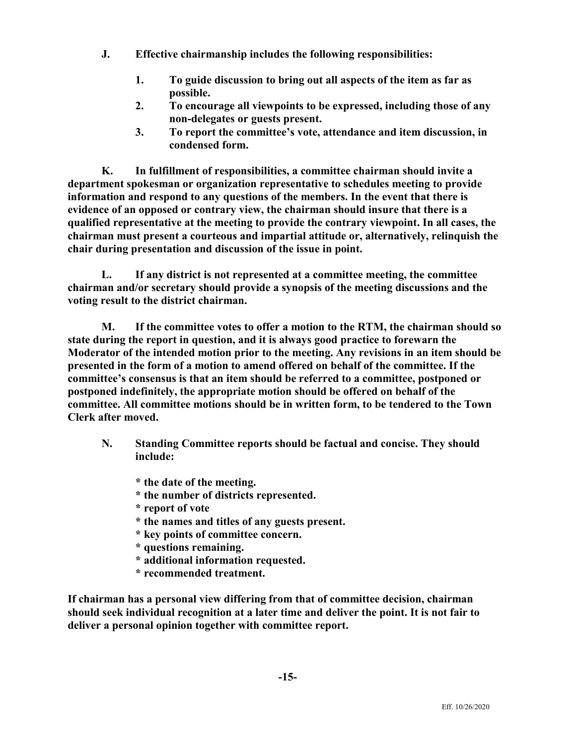- **J. Effective chairmanship includes the following responsibilities:**
	- **1. To guide discussion to bring out all aspects of the item as far as possible.**
	- **2. To encourage all viewpoints to be expressed, including those of any non-delegates or guests present.**
	- **3. To report the committee's vote, attendance and item discussion, in condensed form.**

**K. In fulfillment of responsibilities, a committee chairman should invite a department spokesman or organization representative to schedules meeting to provide information and respond to any questions of the members. In the event that there is evidence of an opposed or contrary view, the chairman should insure that there is a qualified representative at the meeting to provide the contrary viewpoint. In all cases, the chairman must present a courteous and impartial attitude or, alternatively, relinquish the chair during presentation and discussion of the issue in point.**

**L. If any district is not represented at a committee meeting, the committee chairman and/or secretary should provide a synopsis of the meeting discussions and the voting result to the district chairman.**

**M. If the committee votes to offer a motion to the RTM, the chairman should so state during the report in question, and it is always good practice to forewarn the Moderator of the intended motion prior to the meeting. Any revisions in an item should be presented in the form of a motion to amend offered on behalf of the committee. If the committee's consensus is that an item should be referred to a committee, postponed or postponed indefinitely, the appropriate motion should be offered on behalf of the committee. All committee motions should be in written form, to be tendered to the Town Clerk after moved.**

- **N. Standing Committee reports should be factual and concise. They should include:**
	- **\* the date of the meeting.**
	- **\* the number of districts represented.**
	- **\* report of vote**
	- **\* the names and titles of any guests present.**
	- **\* key points of committee concern.**
	- **\* questions remaining.**
	- **\* additional information requested.**
	- **\* recommended treatment.**

**If chairman has a personal view differing from that of committee decision, chairman should seek individual recognition at a later time and deliver the point. It is not fair to deliver a personal opinion together with committee report.**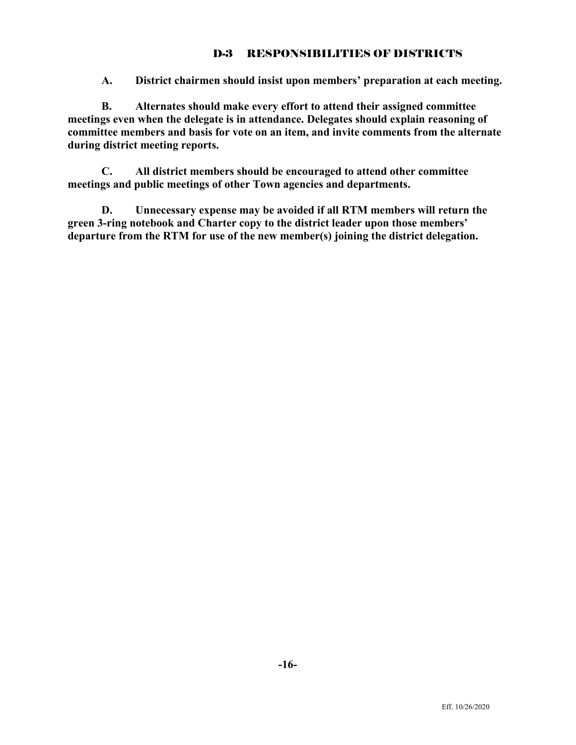### D-3 RESPONSIBILITIES OF DISTRICTS

**A. District chairmen should insist upon members' preparation at each meeting.**

**B. Alternates should make every effort to attend their assigned committee meetings even when the delegate is in attendance. Delegates should explain reasoning of committee members and basis for vote on an item, and invite comments from the alternate during district meeting reports.**

**C. All district members should be encouraged to attend other committee meetings and public meetings of other Town agencies and departments.**

**D. Unnecessary expense may be avoided if all RTM members will return the green 3-ring notebook and Charter copy to the district leader upon those members' departure from the RTM for use of the new member(s) joining the district delegation.**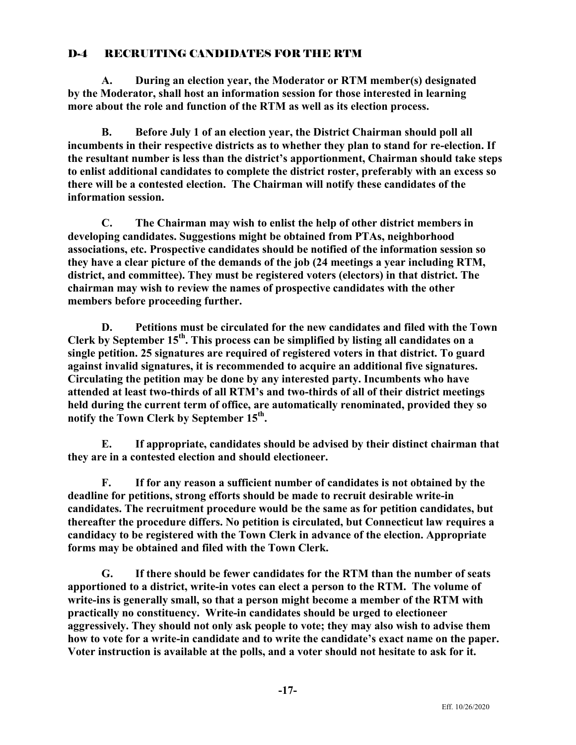### D-4 RECRUITING CANDIDATES FOR THE RTM

**A. During an election year, the Moderator or RTM member(s) designated by the Moderator, shall host an information session for those interested in learning more about the role and function of the RTM as well as its election process.**

**B. Before July 1 of an election year, the District Chairman should poll all incumbents in their respective districts as to whether they plan to stand for re-election. If the resultant number is less than the district's apportionment, Chairman should take steps to enlist additional candidates to complete the district roster, preferably with an excess so there will be a contested election. The Chairman will notify these candidates of the information session.**

**C. The Chairman may wish to enlist the help of other district members in developing candidates. Suggestions might be obtained from PTAs, neighborhood associations, etc. Prospective candidates should be notified of the information session so they have a clear picture of the demands of the job (24 meetings a year including RTM, district, and committee). They must be registered voters (electors) in that district. The chairman may wish to review the names of prospective candidates with the other members before proceeding further.**

**D. Petitions must be circulated for the new candidates and filed with the Town Clerk by September 15th. This process can be simplified by listing all candidates on a single petition. 25 signatures are required of registered voters in that district. To guard against invalid signatures, it is recommended to acquire an additional five signatures. Circulating the petition may be done by any interested party. Incumbents who have attended at least two-thirds of all RTM's and two-thirds of all of their district meetings held during the current term of office, are automatically renominated, provided they so notify the Town Clerk by September 15th.**

**E. If appropriate, candidates should be advised by their distinct chairman that they are in a contested election and should electioneer.**

**F. If for any reason a sufficient number of candidates is not obtained by the deadline for petitions, strong efforts should be made to recruit desirable write-in candidates. The recruitment procedure would be the same as for petition candidates, but thereafter the procedure differs. No petition is circulated, but Connecticut law requires a candidacy to be registered with the Town Clerk in advance of the election. Appropriate forms may be obtained and filed with the Town Clerk.**

**G. If there should be fewer candidates for the RTM than the number of seats apportioned to a district, write-in votes can elect a person to the RTM. The volume of write-ins is generally small, so that a person might become a member of the RTM with practically no constituency. Write-in candidates should be urged to electioneer aggressively. They should not only ask people to vote; they may also wish to advise them how to vote for a write-in candidate and to write the candidate's exact name on the paper. Voter instruction is available at the polls, and a voter should not hesitate to ask for it.**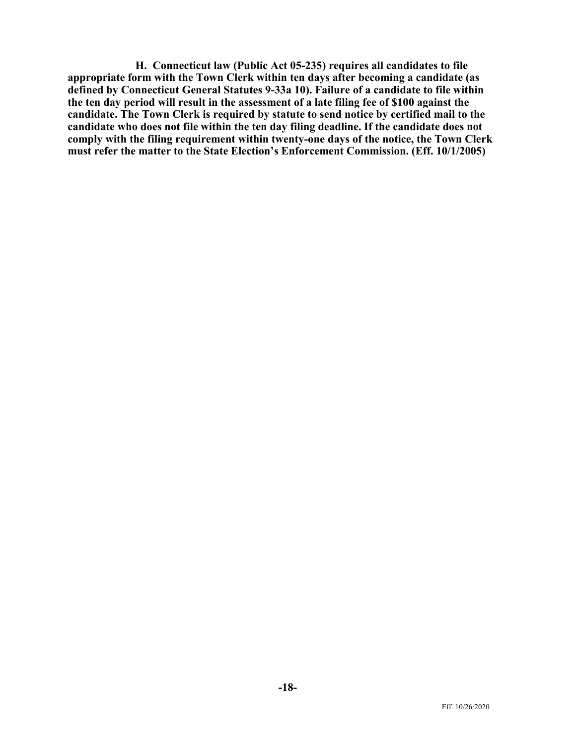**H. Connecticut law (Public Act 05-235) requires all candidates to file appropriate form with the Town Clerk within ten days after becoming a candidate (as defined by Connecticut General Statutes 9-33a 10). Failure of a candidate to file within the ten day period will result in the assessment of a late filing fee of \$100 against the candidate. The Town Clerk is required by statute to send notice by certified mail to the candidate who does not file within the ten day filing deadline. If the candidate does not comply with the filing requirement within twenty-one days of the notice, the Town Clerk must refer the matter to the State Election's Enforcement Commission. (Eff. 10/1/2005)**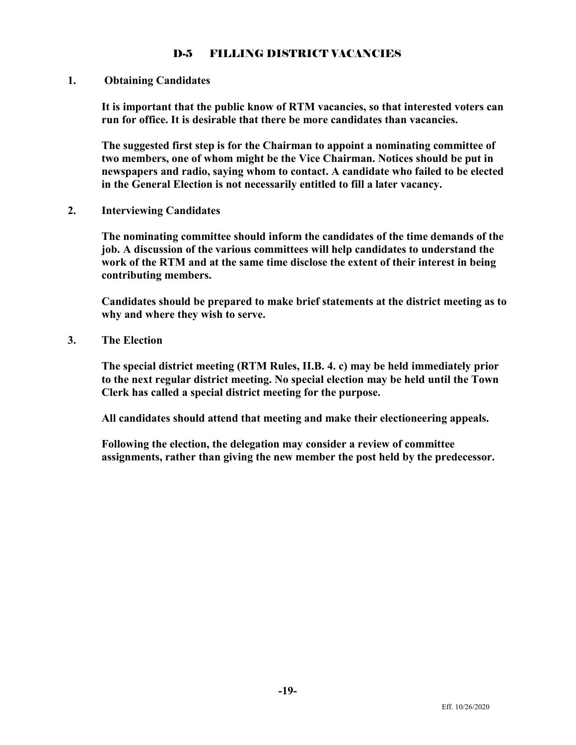### D-5 FILLING DISTRICT VACANCIES

#### **1. Obtaining Candidates**

**It is important that the public know of RTM vacancies, so that interested voters can run for office. It is desirable that there be more candidates than vacancies.**

**The suggested first step is for the Chairman to appoint a nominating committee of two members, one of whom might be the Vice Chairman. Notices should be put in newspapers and radio, saying whom to contact. A candidate who failed to be elected in the General Election is not necessarily entitled to fill a later vacancy.**

**2. Interviewing Candidates**

**The nominating committee should inform the candidates of the time demands of the job. A discussion of the various committees will help candidates to understand the work of the RTM and at the same time disclose the extent of their interest in being contributing members.**

**Candidates should be prepared to make brief statements at the district meeting as to why and where they wish to serve.**

**3. The Election**

**The special district meeting (RTM Rules, II.B. 4. c) may be held immediately prior to the next regular district meeting. No special election may be held until the Town Clerk has called a special district meeting for the purpose.**

**All candidates should attend that meeting and make their electioneering appeals.** 

**Following the election, the delegation may consider a review of committee assignments, rather than giving the new member the post held by the predecessor.**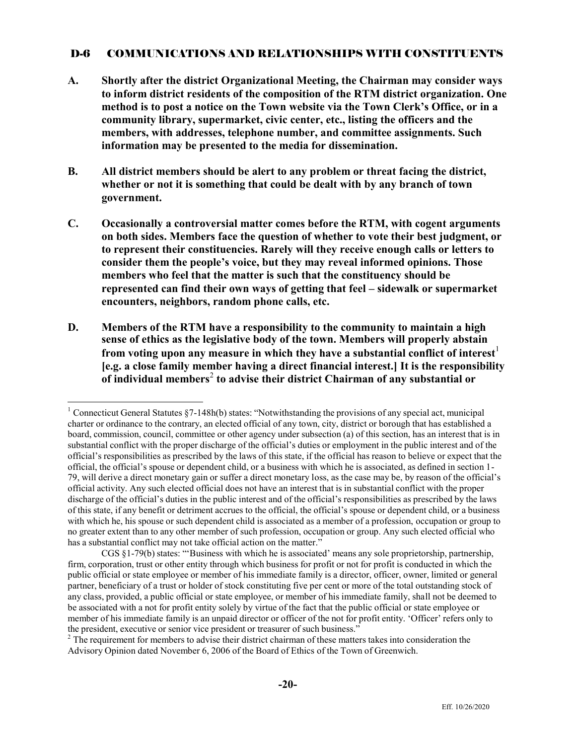### D-6 COMMUNICATIONS AND RELATIONSHIPS WITH CONSTITUENTS

- **A. Shortly after the district Organizational Meeting, the Chairman may consider ways to inform district residents of the composition of the RTM district organization. One method is to post a notice on the Town website via the Town Clerk's Office, or in a community library, supermarket, civic center, etc., listing the officers and the members, with addresses, telephone number, and committee assignments. Such information may be presented to the media for dissemination.**
- **B. All district members should be alert to any problem or threat facing the district, whether or not it is something that could be dealt with by any branch of town government.**
- **C. Occasionally a controversial matter comes before the RTM, with cogent arguments on both sides. Members face the question of whether to vote their best judgment, or to represent their constituencies. Rarely will they receive enough calls or letters to consider them the people's voice, but they may reveal informed opinions. Those members who feel that the matter is such that the constituency should be represented can find their own ways of getting that feel – sidewalk or supermarket encounters, neighbors, random phone calls, etc.**
- **D. Members of the RTM have a responsibility to the community to maintain a high sense of ethics as the legislative body of the town. Members will properly abstain from voting upon any measure in which they have a substantial conflict of interest [e.g. a close family member having a direct financial interest.] It is the responsibility of individual members**<sup>2</sup>**to advise their district Chairman of any substantial or**

<sup>&</sup>lt;sup>1</sup> Connecticut General Statutes §7-148h(b) states: "Notwithstanding the provisions of any special act, municipal charter or ordinance to the contrary, an elected official of any town, city, district or borough that has established a board, commission, council, committee or other agency under subsection (a) of this section, has an interest that is in substantial conflict with the proper discharge of the official's duties or employment in the public interest and of the official's responsibilities as prescribed by the laws of this state, if the official has reason to believe or expect that the official, the official's spouse or dependent child, or a business with which he is associated, as defined in section 1- 79, will derive a direct monetary gain or suffer a direct monetary loss, as the case may be, by reason of the official's official activity. Any such elected official does not have an interest that is in substantial conflict with the proper discharge of the official's duties in the public interest and of the official's responsibilities as prescribed by the laws of this state, if any benefit or detriment accrues to the official, the official's spouse or dependent child, or a business with which he, his spouse or such dependent child is associated as a member of a profession, occupation or group to no greater extent than to any other member of such profession, occupation or group. Any such elected official who has a substantial conflict may not take official action on the matter."

CGS §1-79(b) states: "'Business with which he is associated' means any sole proprietorship, partnership, firm, corporation, trust or other entity through which business for profit or not for profit is conducted in which the public official or state employee or member of his immediate family is a director, officer, owner, limited or general partner, beneficiary of a trust or holder of stock constituting five per cent or more of the total outstanding stock of any class, provided, a public official or state employee, or member of his immediate family, shall not be deemed to be associated with a not for profit entity solely by virtue of the fact that the public official or state employee or member of his immediate family is an unpaid director or officer of the not for profit entity. 'Officer' refers only to the president, executive or senior vice president or treasurer of such business."<br><sup>2</sup> The requirement for members to advise their district chairman of these matters takes into consideration the

Advisory Opinion dated November 6, 2006 of the Board of Ethics of the Town of Greenwich.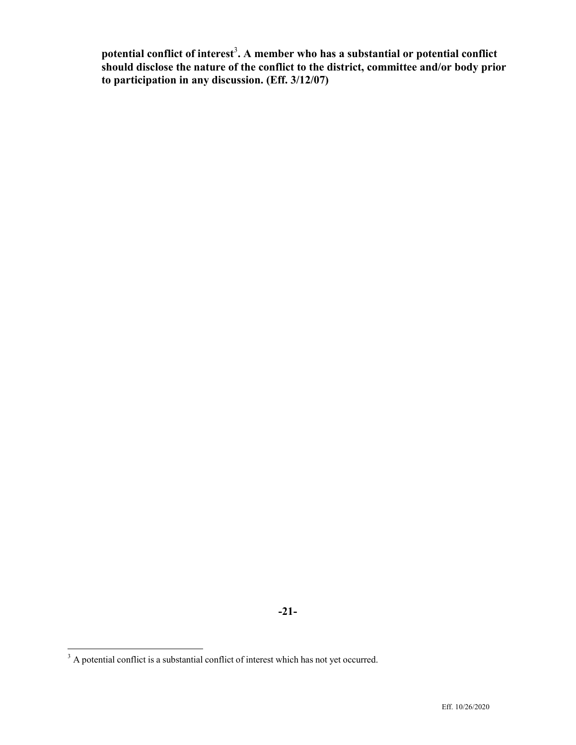**potential conflict of interest**<sup>3</sup> **. A member who has a substantial or potential conflict should disclose the nature of the conflict to the district, committee and/or body prior to participation in any discussion. (Eff. 3/12/07)**

<sup>&</sup>lt;sup>3</sup> A potential conflict is a substantial conflict of interest which has not yet occurred.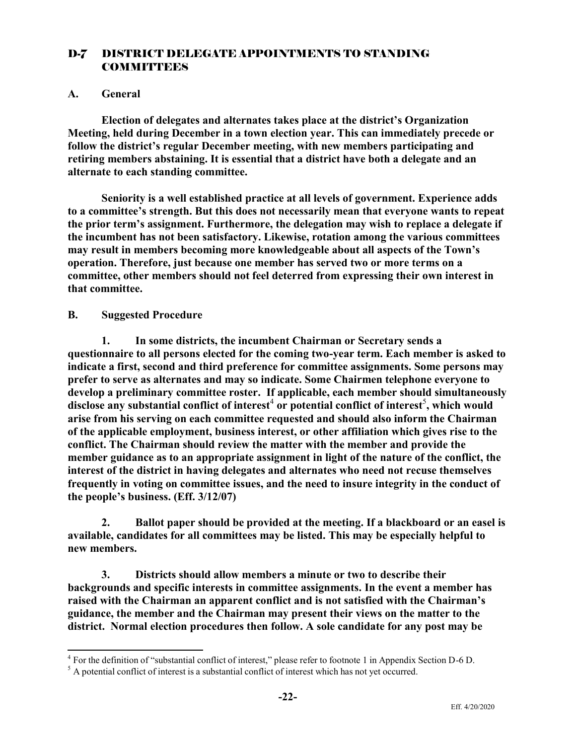## D-7 DISTRICT DELEGATE APPOINTMENTS TO STANDING **COMMITTEES**

### **A. General**

**Election of delegates and alternates takes place at the district's Organization Meeting, held during December in a town election year. This can immediately precede or follow the district's regular December meeting, with new members participating and retiring members abstaining. It is essential that a district have both a delegate and an alternate to each standing committee.**

**Seniority is a well established practice at all levels of government. Experience adds to a committee's strength. But this does not necessarily mean that everyone wants to repeat the prior term's assignment. Furthermore, the delegation may wish to replace a delegate if the incumbent has not been satisfactory. Likewise, rotation among the various committees may result in members becoming more knowledgeable about all aspects of the Town's operation. Therefore, just because one member has served two or more terms on a committee, other members should not feel deterred from expressing their own interest in that committee.**

### **B. Suggested Procedure**

**1. In some districts, the incumbent Chairman or Secretary sends a questionnaire to all persons elected for the coming two-year term. Each member is asked to indicate a first, second and third preference for committee assignments. Some persons may prefer to serve as alternates and may so indicate. Some Chairmen telephone everyone to develop a preliminary committee roster. If applicable, each member should simultaneously** disclose any substantial conflict of interest<sup>4</sup> or potential conflict of interest<sup>5</sup>, which would **arise from his serving on each committee requested and should also inform the Chairman of the applicable employment, business interest, or other affiliation which gives rise to the conflict. The Chairman should review the matter with the member and provide the member guidance as to an appropriate assignment in light of the nature of the conflict, the interest of the district in having delegates and alternates who need not recuse themselves frequently in voting on committee issues, and the need to insure integrity in the conduct of the people's business. (Eff. 3/12/07)**

**2. Ballot paper should be provided at the meeting. If a blackboard or an easel is available, candidates for all committees may be listed. This may be especially helpful to new members.**

**3. Districts should allow members a minute or two to describe their backgrounds and specific interests in committee assignments. In the event a member has raised with the Chairman an apparent conflict and is not satisfied with the Chairman's guidance, the member and the Chairman may present their views on the matter to the district. Normal election procedures then follow. A sole candidate for any post may be**

<sup>&</sup>lt;sup>4</sup> For the definition of "substantial conflict of interest," please refer to footnote 1 in Appendix Section D-6 D.  $^5$  A potential conflict of interest which has not yet occurred.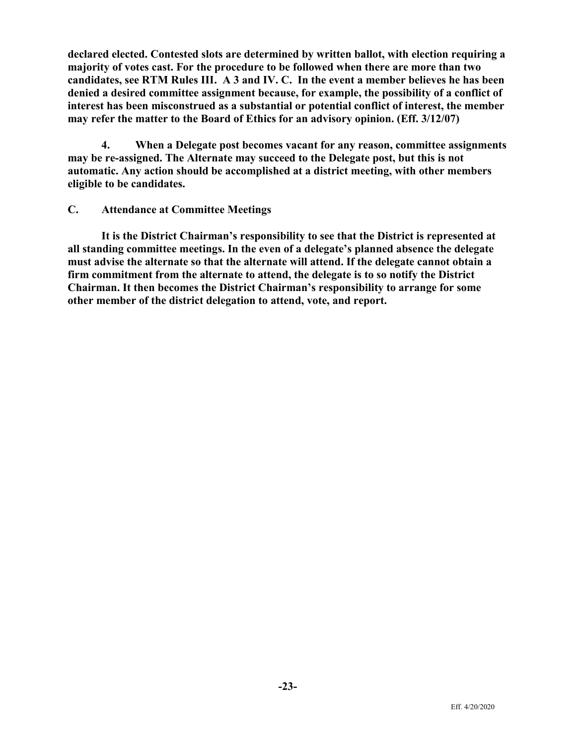**declared elected. Contested slots are determined by written ballot, with election requiring a majority of votes cast. For the procedure to be followed when there are more than two candidates, see RTM Rules III. A 3 and IV. C. In the event a member believes he has been denied a desired committee assignment because, for example, the possibility of a conflict of interest has been misconstrued as a substantial or potential conflict of interest, the member may refer the matter to the Board of Ethics for an advisory opinion. (Eff. 3/12/07)**

**4. When a Delegate post becomes vacant for any reason, committee assignments may be re-assigned. The Alternate may succeed to the Delegate post, but this is not automatic. Any action should be accomplished at a district meeting, with other members eligible to be candidates.**

### **C. Attendance at Committee Meetings**

**It is the District Chairman's responsibility to see that the District is represented at all standing committee meetings. In the even of a delegate's planned absence the delegate must advise the alternate so that the alternate will attend. If the delegate cannot obtain a firm commitment from the alternate to attend, the delegate is to so notify the District Chairman. It then becomes the District Chairman's responsibility to arrange for some other member of the district delegation to attend, vote, and report.**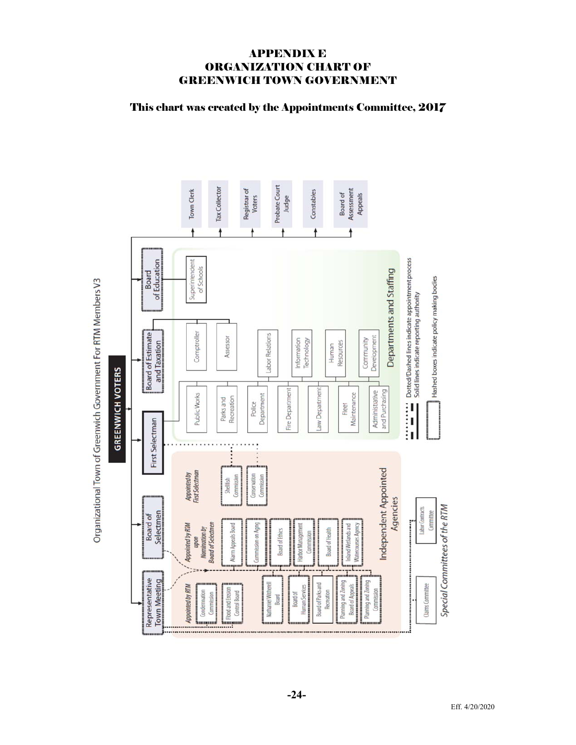### APPENDIX E ORGANIZATION CHART OF GREENWICH TOWN GOVERNMENT

#### This chart was created by the Appointments Committee, 2017



Organizational Town of Greenwich Government For RTM Members V3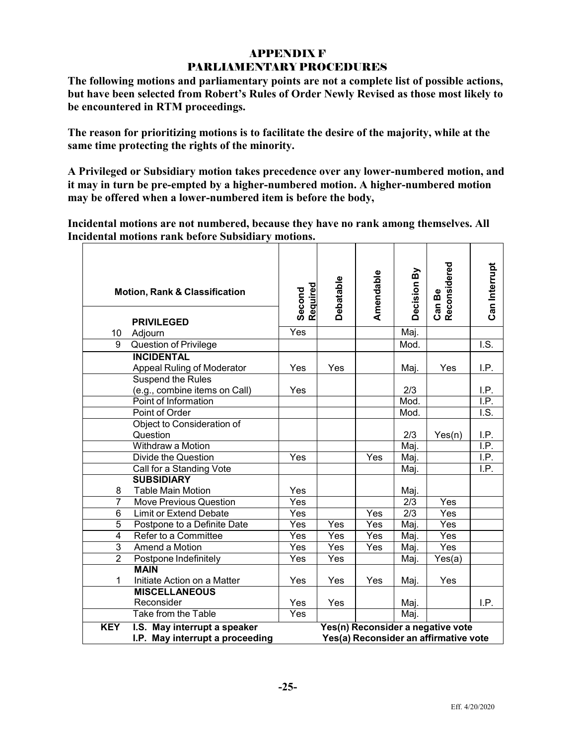### APPENDIX F PARLIAMENTARY PROCEDURES

**The following motions and parliamentary points are not a complete list of possible actions, but have been selected from Robert's Rules of Order Newly Revised as those most likely to be encountered in RTM proceedings.**

**The reason for prioritizing motions is to facilitate the desire of the majority, while at the same time protecting the rights of the minority.**

**A Privileged or Subsidiary motion takes precedence over any lower-numbered motion, and it may in turn be pre-empted by a higher-numbered motion. A higher-numbered motion may be offered when a lower-numbered item is before the body,**

**Incidental motions are not numbered, because they have no rank among themselves. All Incidental motions rank before Subsidiary motions.**

|                | <b>Motion, Rank &amp; Classification</b><br><b>PRIVILEGED</b> | Second<br>Required | <b>Debatable</b> | Amendable | Decision By      | Can Be<br>Reconsidered                | Can Interrupt               |
|----------------|---------------------------------------------------------------|--------------------|------------------|-----------|------------------|---------------------------------------|-----------------------------|
| 10             | Adjourn                                                       | Yes                |                  |           | Maj.             |                                       |                             |
| $\overline{9}$ | Question of Privilege                                         |                    |                  |           | Mod.             |                                       | $\overline{\overline{S}}$ . |
|                | <b>INCIDENTAL</b>                                             |                    |                  |           |                  |                                       |                             |
|                | <b>Appeal Ruling of Moderator</b>                             | Yes                | Yes              |           | Maj.             | Yes                                   | I.P.                        |
|                | Suspend the Rules                                             |                    |                  |           |                  |                                       |                             |
|                | (e.g., combine items on Call)                                 | Yes                |                  |           | 2/3              |                                       | I.P.                        |
|                | Point of Information                                          |                    |                  |           | Mod.             |                                       | I.P.                        |
|                | Point of Order                                                |                    |                  |           | Mod.             |                                       | $\overline{\mathsf{LS}}$ .  |
|                | Object to Consideration of                                    |                    |                  |           |                  |                                       |                             |
|                | Question                                                      |                    |                  |           | 2/3              | Yes(n)                                | I.P.                        |
|                | Withdraw a Motion                                             |                    |                  |           | Maj.             |                                       | IP.                         |
|                | Divide the Question                                           | Yes                |                  | Yes       | Maj.             |                                       | IP.                         |
|                | Call for a Standing Vote                                      |                    |                  |           | Maj.             |                                       | I.P.                        |
|                | <b>SUBSIDIARY</b>                                             |                    |                  |           |                  |                                       |                             |
| 8              | <b>Table Main Motion</b>                                      | Yes                |                  |           | Maj.             |                                       |                             |
| $\overline{7}$ | <b>Move Previous Question</b>                                 | Yes                |                  |           | 2/3              | Yes                                   |                             |
| 6              | <b>Limit or Extend Debate</b>                                 | Yes                |                  | Yes       | $\overline{2/3}$ | Yes                                   |                             |
| $\overline{5}$ | Postpone to a Definite Date                                   | Yes                | Yes              | Yes       | Maj.             | Yes                                   |                             |
| 4              | Refer to a Committee                                          | Yes                | Yes              | Yes       | Maj.             | Yes                                   |                             |
| 3              | Amend a Motion                                                | Yes                | Yes              | Yes       | Maj.             | Yes                                   |                             |
| $\overline{2}$ | Postpone Indefinitely                                         | Yes                | Yes              |           | Maj.             | Yes(a)                                |                             |
|                | <b>MAIN</b>                                                   |                    |                  |           |                  |                                       |                             |
| 1              | Initiate Action on a Matter                                   | Yes                | Yes              | Yes       | Maj.             | Yes                                   |                             |
|                | <b>MISCELLANEOUS</b>                                          |                    |                  |           |                  |                                       |                             |
|                | Reconsider                                                    | Yes                | Yes              |           | Maj.             |                                       | I.P.                        |
|                | Take from the Table                                           | Yes                |                  |           | Maj.             |                                       |                             |
| <b>KEY</b>     | I.S. May interrupt a speaker                                  |                    |                  |           |                  | Yes(n) Reconsider a negative vote     |                             |
|                | I.P. May interrupt a proceeding                               |                    |                  |           |                  | Yes(a) Reconsider an affirmative vote |                             |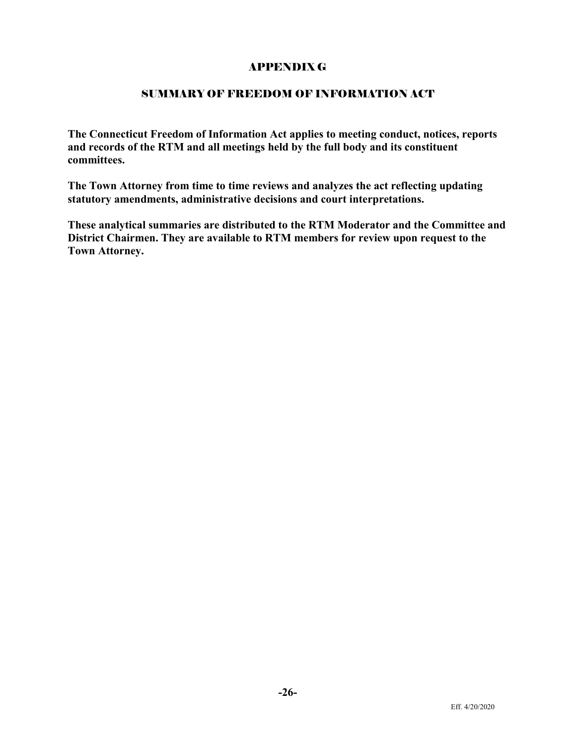### APPENDIX G

### SUMMARY OF FREEDOM OF INFORMATION ACT

**The Connecticut Freedom of Information Act applies to meeting conduct, notices, reports and records of the RTM and all meetings held by the full body and its constituent committees.**

**The Town Attorney from time to time reviews and analyzes the act reflecting updating statutory amendments, administrative decisions and court interpretations.**

**These analytical summaries are distributed to the RTM Moderator and the Committee and District Chairmen. They are available to RTM members for review upon request to the Town Attorney.**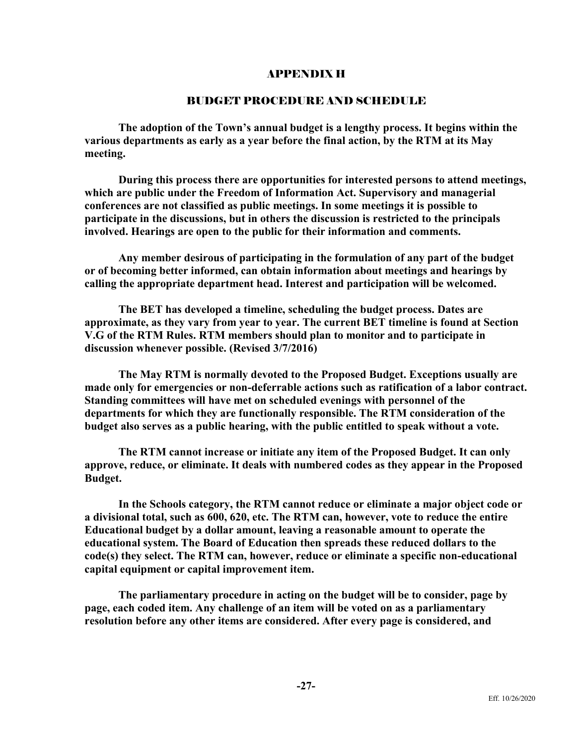### APPENDIX H

#### BUDGET PROCEDURE AND SCHEDULE

**The adoption of the Town's annual budget is a lengthy process. It begins within the various departments as early as a year before the final action, by the RTM at its May meeting.**

**During this process there are opportunities for interested persons to attend meetings, which are public under the Freedom of Information Act. Supervisory and managerial conferences are not classified as public meetings. In some meetings it is possible to participate in the discussions, but in others the discussion is restricted to the principals involved. Hearings are open to the public for their information and comments.**

**Any member desirous of participating in the formulation of any part of the budget or of becoming better informed, can obtain information about meetings and hearings by calling the appropriate department head. Interest and participation will be welcomed.**

**The BET has developed a timeline, scheduling the budget process. Dates are approximate, as they vary from year to year. The current BET timeline is found at Section V.G of the RTM Rules. RTM members should plan to monitor and to participate in discussion whenever possible. (Revised 3/7/2016)**

**The May RTM is normally devoted to the Proposed Budget. Exceptions usually are made only for emergencies or non-deferrable actions such as ratification of a labor contract. Standing committees will have met on scheduled evenings with personnel of the departments for which they are functionally responsible. The RTM consideration of the budget also serves as a public hearing, with the public entitled to speak without a vote.**

**The RTM cannot increase or initiate any item of the Proposed Budget. It can only approve, reduce, or eliminate. It deals with numbered codes as they appear in the Proposed Budget.**

**In the Schools category, the RTM cannot reduce or eliminate a major object code or a divisional total, such as 600, 620, etc. The RTM can, however, vote to reduce the entire Educational budget by a dollar amount, leaving a reasonable amount to operate the educational system. The Board of Education then spreads these reduced dollars to the code(s) they select. The RTM can, however, reduce or eliminate a specific non-educational capital equipment or capital improvement item.**

**The parliamentary procedure in acting on the budget will be to consider, page by page, each coded item. Any challenge of an item will be voted on as a parliamentary resolution before any other items are considered. After every page is considered, and**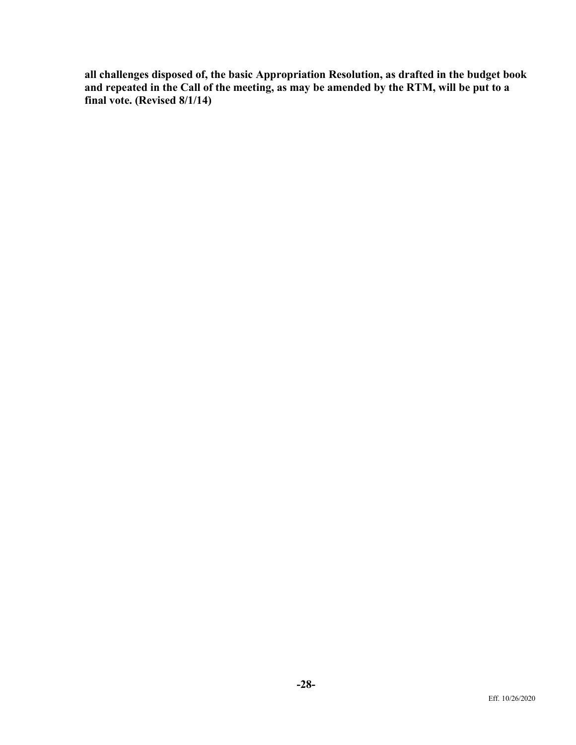**all challenges disposed of, the basic Appropriation Resolution, as drafted in the budget book and repeated in the Call of the meeting, as may be amended by the RTM, will be put to a final vote. (Revised 8/1/14)**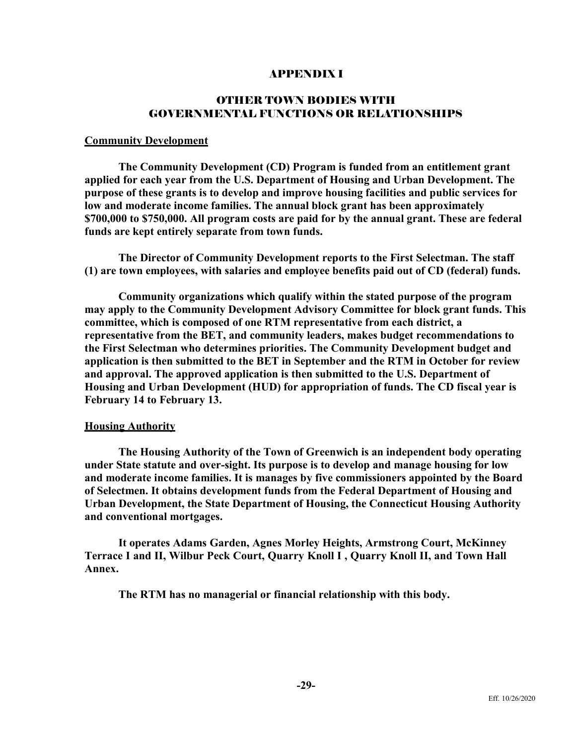### APPENDIX I

### OTHER TOWN BODIES WITH GOVERNMENTAL FUNCTIONS OR RELATIONSHIPS

#### **Community Development**

**The Community Development (CD) Program is funded from an entitlement grant applied for each year from the U.S. Department of Housing and Urban Development. The purpose of these grants is to develop and improve housing facilities and public services for low and moderate income families. The annual block grant has been approximately \$700,000 to \$750,000. All program costs are paid for by the annual grant. These are federal funds are kept entirely separate from town funds.**

**The Director of Community Development reports to the First Selectman. The staff (1) are town employees, with salaries and employee benefits paid out of CD (federal) funds.**

**Community organizations which qualify within the stated purpose of the program may apply to the Community Development Advisory Committee for block grant funds. This committee, which is composed of one RTM representative from each district, a representative from the BET, and community leaders, makes budget recommendations to the First Selectman who determines priorities. The Community Development budget and application is then submitted to the BET in September and the RTM in October for review and approval. The approved application is then submitted to the U.S. Department of Housing and Urban Development (HUD) for appropriation of funds. The CD fiscal year is February 14 to February 13.**

### **Housing Authority**

**The Housing Authority of the Town of Greenwich is an independent body operating under State statute and over-sight. Its purpose is to develop and manage housing for low and moderate income families. It is manages by five commissioners appointed by the Board of Selectmen. It obtains development funds from the Federal Department of Housing and Urban Development, the State Department of Housing, the Connecticut Housing Authority and conventional mortgages.**

**It operates Adams Garden, Agnes Morley Heights, Armstrong Court, McKinney Terrace I and II, Wilbur Peck Court, Quarry Knoll I , Quarry Knoll II, and Town Hall Annex.**

**The RTM has no managerial or financial relationship with this body.**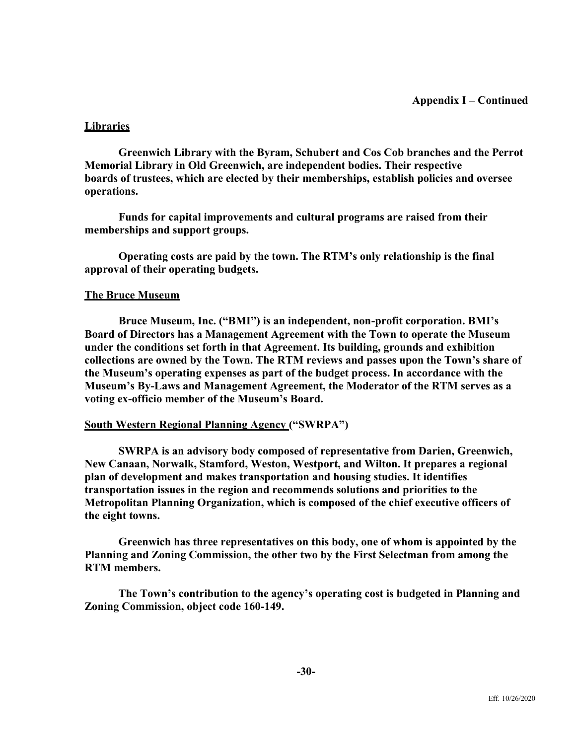### **Libraries**

**Greenwich Library with the Byram, Schubert and Cos Cob branches and the Perrot Memorial Library in Old Greenwich, are independent bodies. Their respective boards of trustees, which are elected by their memberships, establish policies and oversee operations.**

**Funds for capital improvements and cultural programs are raised from their memberships and support groups.**

**Operating costs are paid by the town. The RTM's only relationship is the final approval of their operating budgets.**

#### **The Bruce Museum**

**Bruce Museum, Inc. ("BMI") is an independent, non-profit corporation. BMI's Board of Directors has a Management Agreement with the Town to operate the Museum under the conditions set forth in that Agreement. Its building, grounds and exhibition collections are owned by the Town. The RTM reviews and passes upon the Town's share of the Museum's operating expenses as part of the budget process. In accordance with the Museum's By-Laws and Management Agreement, the Moderator of the RTM serves as a voting ex-officio member of the Museum's Board.**

### **South Western Regional Planning Agency ("SWRPA")**

**SWRPA is an advisory body composed of representative from Darien, Greenwich, New Canaan, Norwalk, Stamford, Weston, Westport, and Wilton. It prepares a regional plan of development and makes transportation and housing studies. It identifies transportation issues in the region and recommends solutions and priorities to the Metropolitan Planning Organization, which is composed of the chief executive officers of the eight towns.**

**Greenwich has three representatives on this body, one of whom is appointed by the Planning and Zoning Commission, the other two by the First Selectman from among the RTM members.**

**The Town's contribution to the agency's operating cost is budgeted in Planning and Zoning Commission, object code 160-149.**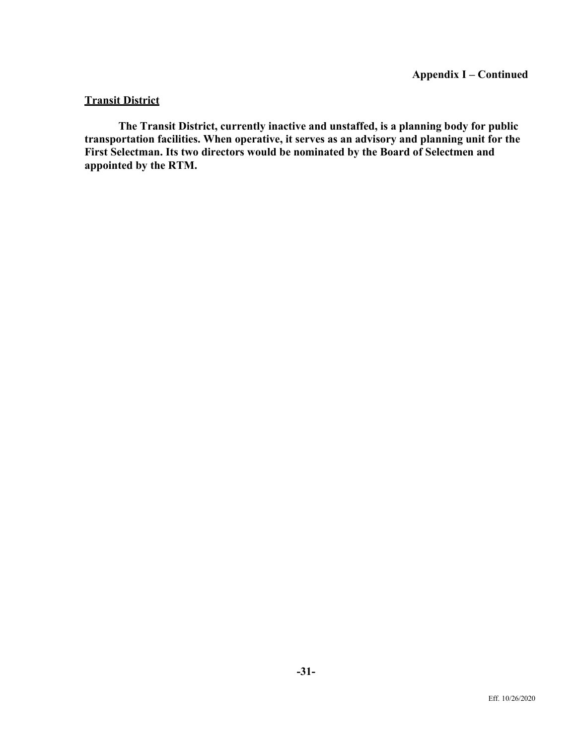### **Transit District**

**The Transit District, currently inactive and unstaffed, is a planning body for public transportation facilities. When operative, it serves as an advisory and planning unit for the First Selectman. Its two directors would be nominated by the Board of Selectmen and appointed by the RTM.**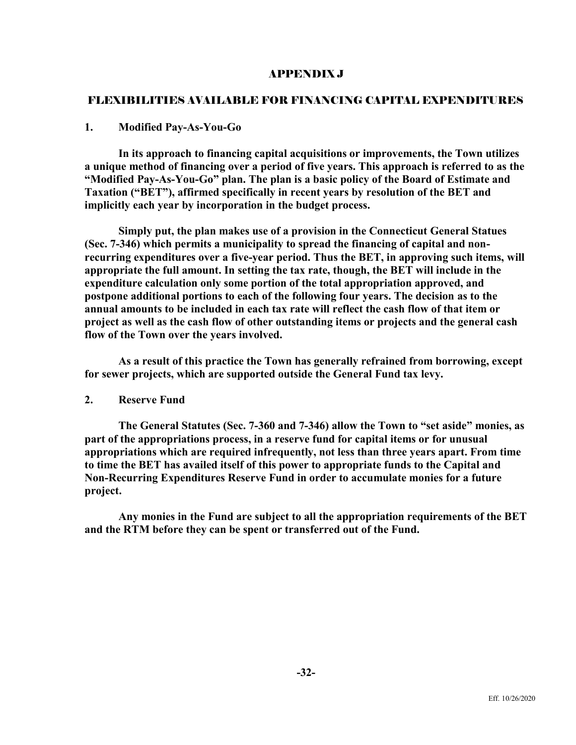#### APPENDIX J

#### FLEXIBILITIES AVAILABLE FOR FINANCING CAPITAL EXPENDITURES

#### **1. Modified Pay-As-You-Go**

**In its approach to financing capital acquisitions or improvements, the Town utilizes a unique method of financing over a period of five years. This approach is referred to as the "Modified Pay-As-You-Go" plan. The plan is a basic policy of the Board of Estimate and Taxation ("BET"), affirmed specifically in recent years by resolution of the BET and implicitly each year by incorporation in the budget process.**

**Simply put, the plan makes use of a provision in the Connecticut General Statues (Sec. 7-346) which permits a municipality to spread the financing of capital and nonrecurring expenditures over a five-year period. Thus the BET, in approving such items, will appropriate the full amount. In setting the tax rate, though, the BET will include in the expenditure calculation only some portion of the total appropriation approved, and postpone additional portions to each of the following four years. The decision as to the annual amounts to be included in each tax rate will reflect the cash flow of that item or project as well as the cash flow of other outstanding items or projects and the general cash flow of the Town over the years involved.**

**As a result of this practice the Town has generally refrained from borrowing, except for sewer projects, which are supported outside the General Fund tax levy.**

#### **2. Reserve Fund**

**The General Statutes (Sec. 7-360 and 7-346) allow the Town to "set aside" monies, as part of the appropriations process, in a reserve fund for capital items or for unusual appropriations which are required infrequently, not less than three years apart. From time to time the BET has availed itself of this power to appropriate funds to the Capital and Non-Recurring Expenditures Reserve Fund in order to accumulate monies for a future project.**

**Any monies in the Fund are subject to all the appropriation requirements of the BET and the RTM before they can be spent or transferred out of the Fund.**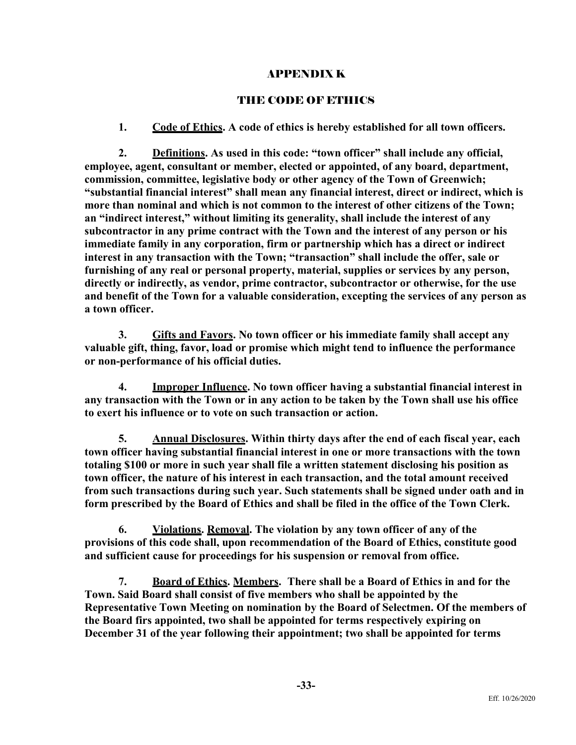### APPENDIX K

### THE CODE OF ETHICS

**1. Code of Ethics. A code of ethics is hereby established for all town officers.**

**2. Definitions. As used in this code: "town officer" shall include any official, employee, agent, consultant or member, elected or appointed, of any board, department, commission, committee, legislative body or other agency of the Town of Greenwich; "substantial financial interest" shall mean any financial interest, direct or indirect, which is more than nominal and which is not common to the interest of other citizens of the Town; an "indirect interest," without limiting its generality, shall include the interest of any subcontractor in any prime contract with the Town and the interest of any person or his immediate family in any corporation, firm or partnership which has a direct or indirect interest in any transaction with the Town; "transaction" shall include the offer, sale or furnishing of any real or personal property, material, supplies or services by any person, directly or indirectly, as vendor, prime contractor, subcontractor or otherwise, for the use and benefit of the Town for a valuable consideration, excepting the services of any person as a town officer.**

**3. Gifts and Favors. No town officer or his immediate family shall accept any valuable gift, thing, favor, load or promise which might tend to influence the performance or non-performance of his official duties.**

**4. Improper Influence. No town officer having a substantial financial interest in any transaction with the Town or in any action to be taken by the Town shall use his office to exert his influence or to vote on such transaction or action.**

**5. Annual Disclosures. Within thirty days after the end of each fiscal year, each town officer having substantial financial interest in one or more transactions with the town totaling \$100 or more in such year shall file a written statement disclosing his position as town officer, the nature of his interest in each transaction, and the total amount received from such transactions during such year. Such statements shall be signed under oath and in form prescribed by the Board of Ethics and shall be filed in the office of the Town Clerk.**

**6. Violations. Removal. The violation by any town officer of any of the provisions of this code shall, upon recommendation of the Board of Ethics, constitute good and sufficient cause for proceedings for his suspension or removal from office.**

**7. Board of Ethics. Members. There shall be a Board of Ethics in and for the Town. Said Board shall consist of five members who shall be appointed by the Representative Town Meeting on nomination by the Board of Selectmen. Of the members of the Board firs appointed, two shall be appointed for terms respectively expiring on December 31 of the year following their appointment; two shall be appointed for terms**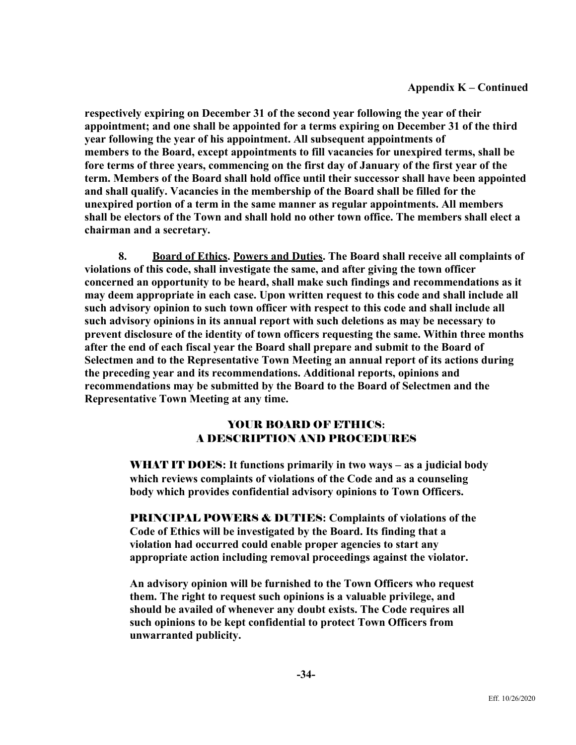**respectively expiring on December 31 of the second year following the year of their appointment; and one shall be appointed for a terms expiring on December 31 of the third year following the year of his appointment. All subsequent appointments of members to the Board, except appointments to fill vacancies for unexpired terms, shall be fore terms of three years, commencing on the first day of January of the first year of the term. Members of the Board shall hold office until their successor shall have been appointed and shall qualify. Vacancies in the membership of the Board shall be filled for the unexpired portion of a term in the same manner as regular appointments. All members shall be electors of the Town and shall hold no other town office. The members shall elect a chairman and a secretary.**

**8. Board of Ethics. Powers and Duties. The Board shall receive all complaints of violations of this code, shall investigate the same, and after giving the town officer concerned an opportunity to be heard, shall make such findings and recommendations as it may deem appropriate in each case. Upon written request to this code and shall include all such advisory opinion to such town officer with respect to this code and shall include all such advisory opinions in its annual report with such deletions as may be necessary to prevent disclosure of the identity of town officers requesting the same. Within three months after the end of each fiscal year the Board shall prepare and submit to the Board of Selectmen and to the Representative Town Meeting an annual report of its actions during the preceding year and its recommendations. Additional reports, opinions and recommendations may be submitted by the Board to the Board of Selectmen and the Representative Town Meeting at any time.**

### YOUR BOARD OF ETHICS**:** A DESCRIPTION AND PROCEDURES

WHAT IT DOES**: It functions primarily in two ways – as a judicial body which reviews complaints of violations of the Code and as a counseling body which provides confidential advisory opinions to Town Officers.**

PRINCIPAL POWERS & DUTIES**: Complaints of violations of the Code of Ethics will be investigated by the Board. Its finding that a violation had occurred could enable proper agencies to start any appropriate action including removal proceedings against the violator.**

**An advisory opinion will be furnished to the Town Officers who request them. The right to request such opinions is a valuable privilege, and should be availed of whenever any doubt exists. The Code requires all such opinions to be kept confidential to protect Town Officers from unwarranted publicity.**